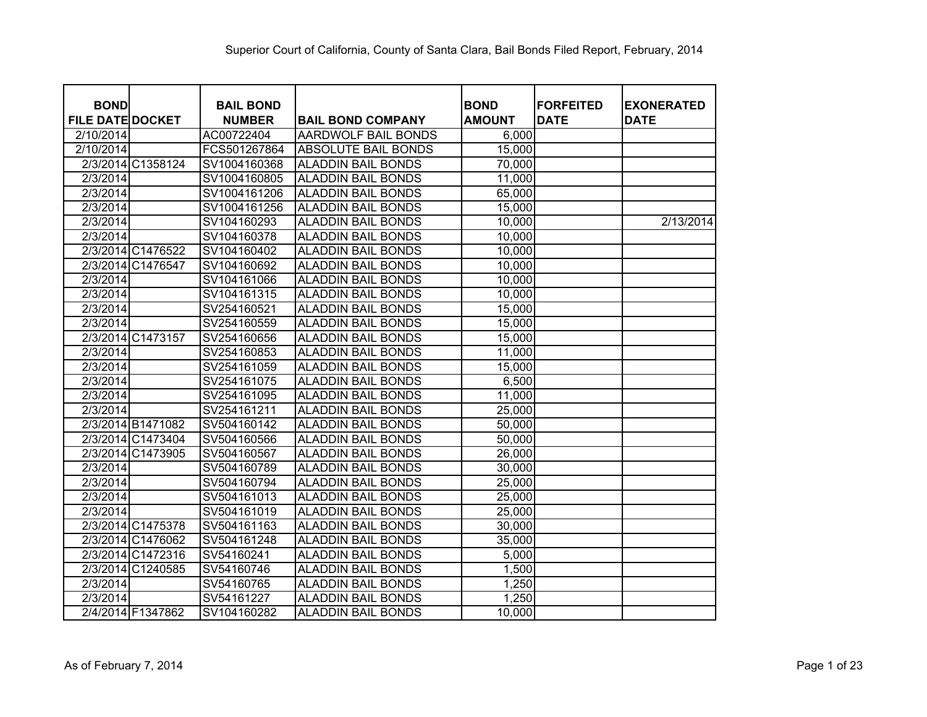| <b>BOND</b><br><b>FILE DATE DOCKET</b> | <b>BAIL BOND</b><br><b>NUMBER</b> | <b>BAIL BOND COMPANY</b>  | <b>BOND</b><br><b>AMOUNT</b> | <b>FORFEITED</b><br><b>DATE</b> | <b>EXONERATED</b><br><b>DATE</b> |
|----------------------------------------|-----------------------------------|---------------------------|------------------------------|---------------------------------|----------------------------------|
| 2/10/2014                              | AC00722404                        | AARDWOLF BAIL BONDS       | 6,000                        |                                 |                                  |
| 2/10/2014                              | FCS501267864                      | ABSOLUTE BAIL BONDS       | 15,000                       |                                 |                                  |
| 2/3/2014 C1358124                      | SV1004160368                      | <b>ALADDIN BAIL BONDS</b> | 70,000                       |                                 |                                  |
| 2/3/2014                               | SV1004160805                      | <b>ALADDIN BAIL BONDS</b> | 11,000                       |                                 |                                  |
| 2/3/2014                               | SV1004161206                      | <b>ALADDIN BAIL BONDS</b> | 65,000                       |                                 |                                  |
| 2/3/2014                               | SV1004161256                      | <b>ALADDIN BAIL BONDS</b> | 15,000                       |                                 |                                  |
| 2/3/2014                               | SV104160293                       | <b>ALADDIN BAIL BONDS</b> | 10,000                       |                                 | 2/13/2014                        |
| 2/3/2014                               | SV104160378                       | <b>ALADDIN BAIL BONDS</b> | 10,000                       |                                 |                                  |
| 2/3/2014 C1476522                      | SV104160402                       | <b>ALADDIN BAIL BONDS</b> | 10,000                       |                                 |                                  |
| 2/3/2014 C1476547                      | SV104160692                       | <b>ALADDIN BAIL BONDS</b> | 10,000                       |                                 |                                  |
| 2/3/2014                               | SV104161066                       | <b>ALADDIN BAIL BONDS</b> | 10,000                       |                                 |                                  |
| 2/3/2014                               | SV104161315                       | <b>ALADDIN BAIL BONDS</b> | 10,000                       |                                 |                                  |
| 2/3/2014                               | SV254160521                       | <b>ALADDIN BAIL BONDS</b> | 15,000                       |                                 |                                  |
| 2/3/2014                               | SV254160559                       | <b>ALADDIN BAIL BONDS</b> | 15,000                       |                                 |                                  |
| 2/3/2014 C1473157                      | SV254160656                       | <b>ALADDIN BAIL BONDS</b> | 15,000                       |                                 |                                  |
| 2/3/2014                               | SV254160853                       | <b>ALADDIN BAIL BONDS</b> | 11,000                       |                                 |                                  |
| 2/3/2014                               | SV254161059                       | <b>ALADDIN BAIL BONDS</b> | 15,000                       |                                 |                                  |
| 2/3/2014                               | SV254161075                       | <b>ALADDIN BAIL BONDS</b> | 6,500                        |                                 |                                  |
| 2/3/2014                               | SV254161095                       | <b>ALADDIN BAIL BONDS</b> | 11,000                       |                                 |                                  |
| 2/3/2014                               | SV254161211                       | <b>ALADDIN BAIL BONDS</b> | 25,000                       |                                 |                                  |
| 2/3/2014 B1471082                      | SV504160142                       | <b>ALADDIN BAIL BONDS</b> | 50,000                       |                                 |                                  |
| 2/3/2014 C1473404                      | SV504160566                       | <b>ALADDIN BAIL BONDS</b> | 50,000                       |                                 |                                  |
| 2/3/2014 C1473905                      | SV504160567                       | <b>ALADDIN BAIL BONDS</b> | 26,000                       |                                 |                                  |
| 2/3/2014                               | SV504160789                       | <b>ALADDIN BAIL BONDS</b> | 30,000                       |                                 |                                  |
| 2/3/2014                               | SV504160794                       | <b>ALADDIN BAIL BONDS</b> | 25,000                       |                                 |                                  |
| 2/3/2014                               | SV504161013                       | <b>ALADDIN BAIL BONDS</b> | 25,000                       |                                 |                                  |
| 2/3/2014                               | SV504161019                       | <b>ALADDIN BAIL BONDS</b> | 25,000                       |                                 |                                  |
| 2/3/2014 C1475378                      | SV504161163                       | <b>ALADDIN BAIL BONDS</b> | 30,000                       |                                 |                                  |
| 2/3/2014 C1476062                      | SV504161248                       | <b>ALADDIN BAIL BONDS</b> | 35,000                       |                                 |                                  |
| 2/3/2014 C1472316                      | SV54160241                        | <b>ALADDIN BAIL BONDS</b> | 5,000                        |                                 |                                  |
| 2/3/2014 C1240585                      | SV54160746                        | <b>ALADDIN BAIL BONDS</b> | 1,500                        |                                 |                                  |
| 2/3/2014                               | SV54160765                        | <b>ALADDIN BAIL BONDS</b> | 1,250                        |                                 |                                  |
| 2/3/2014                               | SV54161227                        | <b>ALADDIN BAIL BONDS</b> | 1,250                        |                                 |                                  |
| 2/4/2014 F1347862                      | SV104160282                       | <b>ALADDIN BAIL BONDS</b> | 10,000                       |                                 |                                  |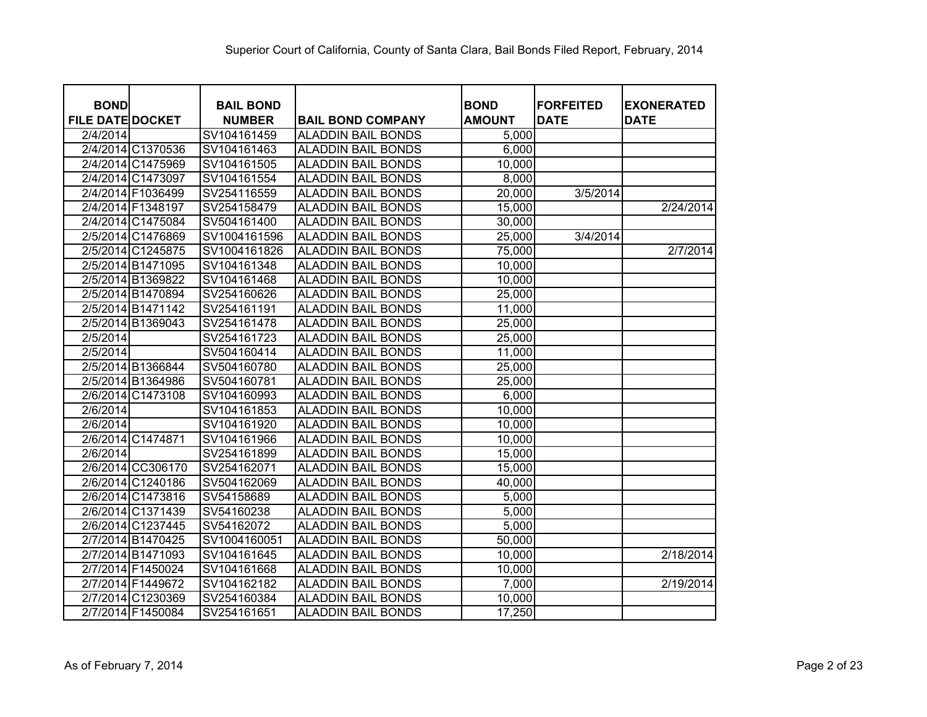| <b>BOND</b>             |                   | <b>BAIL BOND</b> |                           | <b>BOND</b>   | <b>FORFEITED</b> | <b>EXONERATED</b> |
|-------------------------|-------------------|------------------|---------------------------|---------------|------------------|-------------------|
| <b>FILE DATE DOCKET</b> |                   | <b>NUMBER</b>    | <b>BAIL BOND COMPANY</b>  | <b>AMOUNT</b> | <b>DATE</b>      | <b>DATE</b>       |
| 2/4/2014                |                   | SV104161459      | <b>ALADDIN BAIL BONDS</b> | 5,000         |                  |                   |
|                         | 2/4/2014 C1370536 | SV104161463      | <b>ALADDIN BAIL BONDS</b> | 6,000         |                  |                   |
|                         | 2/4/2014 C1475969 | SV104161505      | <b>ALADDIN BAIL BONDS</b> | 10,000        |                  |                   |
|                         | 2/4/2014 C1473097 | SV104161554      | <b>ALADDIN BAIL BONDS</b> | 8,000         |                  |                   |
|                         | 2/4/2014 F1036499 | SV254116559      | <b>ALADDIN BAIL BONDS</b> | 20,000        | 3/5/2014         |                   |
|                         | 2/4/2014 F1348197 | SV254158479      | <b>ALADDIN BAIL BONDS</b> | 15,000        |                  | 2/24/2014         |
|                         | 2/4/2014 C1475084 | SV504161400      | <b>ALADDIN BAIL BONDS</b> | 30,000        |                  |                   |
|                         | 2/5/2014 C1476869 | SV1004161596     | <b>ALADDIN BAIL BONDS</b> | 25,000        | 3/4/2014         |                   |
|                         | 2/5/2014 C1245875 | SV1004161826     | <b>ALADDIN BAIL BONDS</b> | 75,000        |                  | 2/7/2014          |
|                         | 2/5/2014 B1471095 | SV104161348      | <b>ALADDIN BAIL BONDS</b> | 10,000        |                  |                   |
|                         | 2/5/2014 B1369822 | SV104161468      | <b>ALADDIN BAIL BONDS</b> | 10,000        |                  |                   |
|                         | 2/5/2014 B1470894 | SV254160626      | <b>ALADDIN BAIL BONDS</b> | 25,000        |                  |                   |
|                         | 2/5/2014 B1471142 | SV254161191      | <b>ALADDIN BAIL BONDS</b> | 11,000        |                  |                   |
|                         | 2/5/2014 B1369043 | SV254161478      | <b>ALADDIN BAIL BONDS</b> | 25,000        |                  |                   |
| 2/5/2014                |                   | SV254161723      | <b>ALADDIN BAIL BONDS</b> | 25,000        |                  |                   |
| 2/5/2014                |                   | SV504160414      | <b>ALADDIN BAIL BONDS</b> | 11,000        |                  |                   |
|                         | 2/5/2014 B1366844 | SV504160780      | <b>ALADDIN BAIL BONDS</b> | 25,000        |                  |                   |
|                         | 2/5/2014 B1364986 | SV504160781      | <b>ALADDIN BAIL BONDS</b> | 25,000        |                  |                   |
|                         | 2/6/2014 C1473108 | SV104160993      | <b>ALADDIN BAIL BONDS</b> | 6,000         |                  |                   |
| 2/6/2014                |                   | SV104161853      | <b>ALADDIN BAIL BONDS</b> | 10,000        |                  |                   |
| 2/6/2014                |                   | SV104161920      | <b>ALADDIN BAIL BONDS</b> | 10,000        |                  |                   |
|                         | 2/6/2014 C1474871 | SV104161966      | <b>ALADDIN BAIL BONDS</b> | 10,000        |                  |                   |
| 2/6/2014                |                   | SV254161899      | <b>ALADDIN BAIL BONDS</b> | 15,000        |                  |                   |
|                         | 2/6/2014 CC306170 | SV254162071      | <b>ALADDIN BAIL BONDS</b> | 15,000        |                  |                   |
|                         | 2/6/2014 C1240186 | SV504162069      | <b>ALADDIN BAIL BONDS</b> | 40,000        |                  |                   |
|                         | 2/6/2014 C1473816 | SV54158689       | <b>ALADDIN BAIL BONDS</b> | 5,000         |                  |                   |
|                         | 2/6/2014 C1371439 | SV54160238       | <b>ALADDIN BAIL BONDS</b> | 5,000         |                  |                   |
|                         | 2/6/2014 C1237445 | SV54162072       | <b>ALADDIN BAIL BONDS</b> | 5,000         |                  |                   |
|                         | 2/7/2014 B1470425 | SV1004160051     | <b>ALADDIN BAIL BONDS</b> | 50,000        |                  |                   |
|                         | 2/7/2014 B1471093 | SV104161645      | <b>ALADDIN BAIL BONDS</b> | 10,000        |                  | 2/18/2014         |
|                         | 2/7/2014 F1450024 | SV104161668      | <b>ALADDIN BAIL BONDS</b> | 10,000        |                  |                   |
|                         | 2/7/2014 F1449672 | SV104162182      | <b>ALADDIN BAIL BONDS</b> | 7,000         |                  | 2/19/2014         |
|                         | 2/7/2014 C1230369 | SV254160384      | <b>ALADDIN BAIL BONDS</b> | 10,000        |                  |                   |
|                         | 2/7/2014 F1450084 | SV254161651      | <b>ALADDIN BAIL BONDS</b> | 17,250        |                  |                   |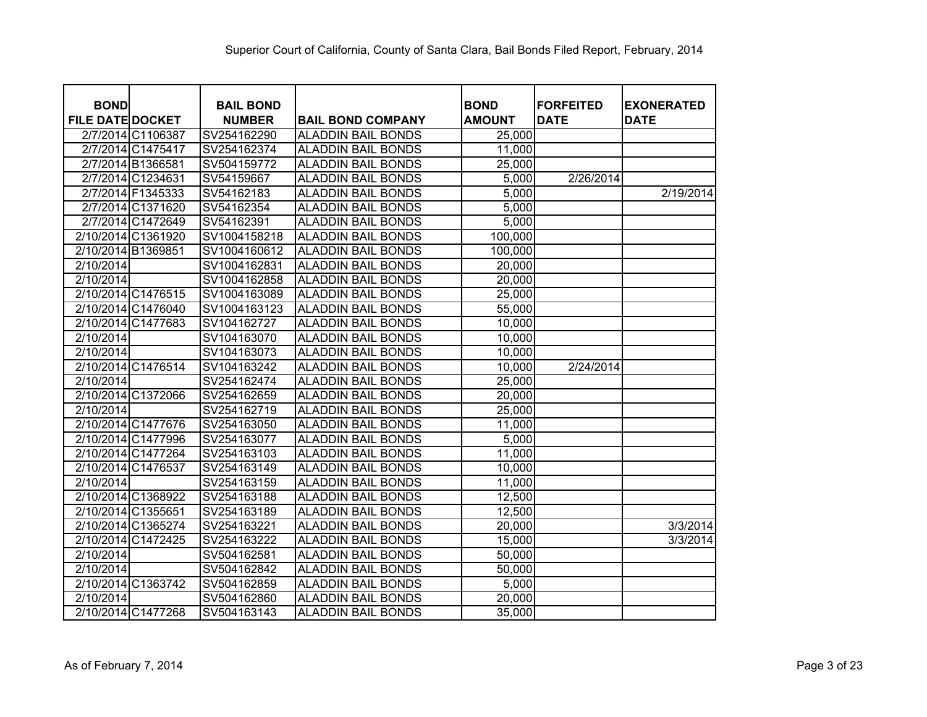| <b>BOND</b>             |                    | <b>BAIL BOND</b> |                           | <b>BOND</b>   | <b>FORFEITED</b> | <b>EXONERATED</b> |
|-------------------------|--------------------|------------------|---------------------------|---------------|------------------|-------------------|
| <b>FILE DATE DOCKET</b> |                    | <b>NUMBER</b>    | <b>BAIL BOND COMPANY</b>  | <b>AMOUNT</b> | <b>DATE</b>      | <b>DATE</b>       |
|                         | 2/7/2014 C1106387  | SV254162290      | <b>ALADDIN BAIL BONDS</b> | 25,000        |                  |                   |
|                         | 2/7/2014 C1475417  | SV254162374      | <b>ALADDIN BAIL BONDS</b> | 11,000        |                  |                   |
|                         | 2/7/2014 B1366581  | SV504159772      | <b>ALADDIN BAIL BONDS</b> | 25,000        |                  |                   |
|                         | 2/7/2014 C1234631  | SV54159667       | <b>ALADDIN BAIL BONDS</b> | 5,000         | 2/26/2014        |                   |
|                         | 2/7/2014 F1345333  | SV54162183       | <b>ALADDIN BAIL BONDS</b> | 5,000         |                  | 2/19/2014         |
|                         | 2/7/2014 C1371620  | SV54162354       | <b>ALADDIN BAIL BONDS</b> | 5,000         |                  |                   |
|                         | 2/7/2014 C1472649  | SV54162391       | <b>ALADDIN BAIL BONDS</b> | 5,000         |                  |                   |
|                         | 2/10/2014 C1361920 | SV1004158218     | <b>ALADDIN BAIL BONDS</b> | 100,000       |                  |                   |
| 2/10/2014 B1369851      |                    | SV1004160612     | <b>ALADDIN BAIL BONDS</b> | 100,000       |                  |                   |
| 2/10/2014               |                    | SV1004162831     | <b>ALADDIN BAIL BONDS</b> | 20,000        |                  |                   |
| 2/10/2014               |                    | SV1004162858     | <b>ALADDIN BAIL BONDS</b> | 20,000        |                  |                   |
|                         | 2/10/2014 C1476515 | SV1004163089     | <b>ALADDIN BAIL BONDS</b> | 25,000        |                  |                   |
|                         | 2/10/2014 C1476040 | SV1004163123     | <b>ALADDIN BAIL BONDS</b> | 55,000        |                  |                   |
|                         | 2/10/2014 C1477683 | SV104162727      | <b>ALADDIN BAIL BONDS</b> | 10,000        |                  |                   |
| 2/10/2014               |                    | SV104163070      | <b>ALADDIN BAIL BONDS</b> | 10,000        |                  |                   |
| 2/10/2014               |                    | SV104163073      | <b>ALADDIN BAIL BONDS</b> | 10,000        |                  |                   |
|                         | 2/10/2014 C1476514 | SV104163242      | <b>ALADDIN BAIL BONDS</b> | 10,000        | 2/24/2014        |                   |
| 2/10/2014               |                    | SV254162474      | <b>ALADDIN BAIL BONDS</b> | 25,000        |                  |                   |
|                         | 2/10/2014 C1372066 | SV254162659      | <b>ALADDIN BAIL BONDS</b> | 20,000        |                  |                   |
| 2/10/2014               |                    | SV254162719      | <b>ALADDIN BAIL BONDS</b> | 25,000        |                  |                   |
|                         | 2/10/2014 C1477676 | SV254163050      | <b>ALADDIN BAIL BONDS</b> | 11,000        |                  |                   |
|                         | 2/10/2014 C1477996 | SV254163077      | <b>ALADDIN BAIL BONDS</b> | 5,000         |                  |                   |
|                         | 2/10/2014 C1477264 | SV254163103      | <b>ALADDIN BAIL BONDS</b> | 11,000        |                  |                   |
| 2/10/2014 C1476537      |                    | SV254163149      | <b>ALADDIN BAIL BONDS</b> | 10,000        |                  |                   |
| 2/10/2014               |                    | SV254163159      | <b>ALADDIN BAIL BONDS</b> | 11,000        |                  |                   |
|                         | 2/10/2014 C1368922 | SV254163188      | <b>ALADDIN BAIL BONDS</b> | 12,500        |                  |                   |
| 2/10/2014 C1355651      |                    | SV254163189      | <b>ALADDIN BAIL BONDS</b> | 12,500        |                  |                   |
|                         | 2/10/2014 C1365274 | SV254163221      | <b>ALADDIN BAIL BONDS</b> | 20,000        |                  | 3/3/2014          |
|                         | 2/10/2014 C1472425 | SV254163222      | <b>ALADDIN BAIL BONDS</b> | 15,000        |                  | 3/3/2014          |
| 2/10/2014               |                    | SV504162581      | <b>ALADDIN BAIL BONDS</b> | 50,000        |                  |                   |
| 2/10/2014               |                    | SV504162842      | <b>ALADDIN BAIL BONDS</b> | 50,000        |                  |                   |
|                         | 2/10/2014 C1363742 | SV504162859      | <b>ALADDIN BAIL BONDS</b> | 5,000         |                  |                   |
| 2/10/2014               |                    | SV504162860      | <b>ALADDIN BAIL BONDS</b> | 20,000        |                  |                   |
|                         | 2/10/2014 C1477268 | SV504163143      | <b>ALADDIN BAIL BONDS</b> | 35,000        |                  |                   |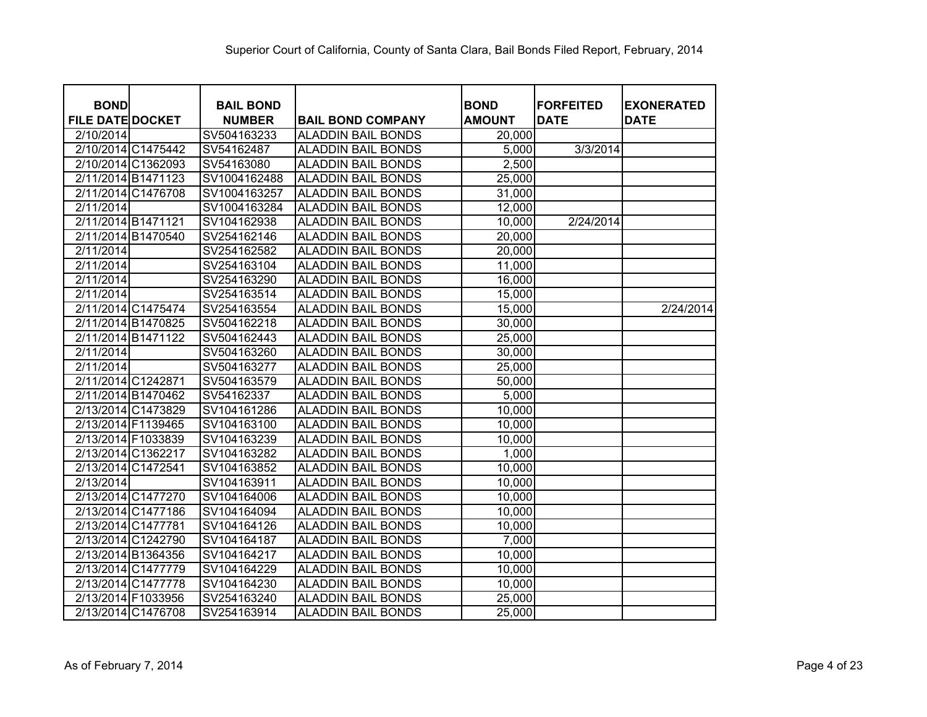| <b>BOND</b>             |                    | <b>BAIL BOND</b> |                           | <b>BOND</b>   | <b>FORFEITED</b> | <b>EXONERATED</b> |
|-------------------------|--------------------|------------------|---------------------------|---------------|------------------|-------------------|
| <b>FILE DATE DOCKET</b> |                    | <b>NUMBER</b>    | <b>BAIL BOND COMPANY</b>  | <b>AMOUNT</b> | <b>DATE</b>      | <b>DATE</b>       |
| 2/10/2014               |                    | SV504163233      | <b>ALADDIN BAIL BONDS</b> | 20,000        |                  |                   |
|                         | 2/10/2014 C1475442 | SV54162487       | ALADDIN BAIL BONDS        | 5,000         | 3/3/2014         |                   |
|                         | 2/10/2014 C1362093 | SV54163080       | <b>ALADDIN BAIL BONDS</b> | 2,500         |                  |                   |
|                         | 2/11/2014 B1471123 | SV1004162488     | <b>ALADDIN BAIL BONDS</b> | 25,000        |                  |                   |
|                         | 2/11/2014 C1476708 | SV1004163257     | <b>ALADDIN BAIL BONDS</b> | 31,000        |                  |                   |
| 2/11/2014               |                    | SV1004163284     | <b>ALADDIN BAIL BONDS</b> | 12,000        |                  |                   |
| 2/11/2014 B1471121      |                    | SV104162938      | <b>ALADDIN BAIL BONDS</b> | 10,000        | 2/24/2014        |                   |
|                         | 2/11/2014 B1470540 | SV254162146      | <b>ALADDIN BAIL BONDS</b> | 20,000        |                  |                   |
| 2/11/2014               |                    | SV254162582      | <b>ALADDIN BAIL BONDS</b> | 20,000        |                  |                   |
| 2/11/2014               |                    | SV254163104      | <b>ALADDIN BAIL BONDS</b> | 11,000        |                  |                   |
| 2/11/2014               |                    | SV254163290      | <b>ALADDIN BAIL BONDS</b> | 16,000        |                  |                   |
| 2/11/2014               |                    | SV254163514      | <b>ALADDIN BAIL BONDS</b> | 15,000        |                  |                   |
|                         | 2/11/2014 C1475474 | SV254163554      | <b>ALADDIN BAIL BONDS</b> | 15,000        |                  | 2/24/2014         |
| 2/11/2014 B1470825      |                    | SV504162218      | <b>ALADDIN BAIL BONDS</b> | 30,000        |                  |                   |
| 2/11/2014 B1471122      |                    | SV504162443      | <b>ALADDIN BAIL BONDS</b> | 25,000        |                  |                   |
| 2/11/2014               |                    | SV504163260      | <b>ALADDIN BAIL BONDS</b> | 30,000        |                  |                   |
| 2/11/2014               |                    | SV504163277      | <b>ALADDIN BAIL BONDS</b> | 25,000        |                  |                   |
| 2/11/2014 C1242871      |                    | SV504163579      | <b>ALADDIN BAIL BONDS</b> | 50,000        |                  |                   |
| 2/11/2014 B1470462      |                    | SV54162337       | <b>ALADDIN BAIL BONDS</b> | 5,000         |                  |                   |
|                         | 2/13/2014 C1473829 | SV104161286      | <b>ALADDIN BAIL BONDS</b> | 10,000        |                  |                   |
| 2/13/2014 F1139465      |                    | SV104163100      | <b>ALADDIN BAIL BONDS</b> | 10,000        |                  |                   |
| 2/13/2014 F1033839      |                    | SV104163239      | <b>ALADDIN BAIL BONDS</b> | 10,000        |                  |                   |
| 2/13/2014 C1362217      |                    | SV104163282      | <b>ALADDIN BAIL BONDS</b> | 1,000         |                  |                   |
| 2/13/2014 C1472541      |                    | SV104163852      | ALADDIN BAIL BONDS        | 10,000        |                  |                   |
| $\overline{2/13/2014}$  |                    | SV104163911      | <b>ALADDIN BAIL BONDS</b> | 10,000        |                  |                   |
|                         | 2/13/2014 C1477270 | SV104164006      | ALADDIN BAIL BONDS        | 10,000        |                  |                   |
|                         | 2/13/2014 C1477186 | SV104164094      | <b>ALADDIN BAIL BONDS</b> | 10,000        |                  |                   |
| 2/13/2014 C1477781      |                    | SV104164126      | <b>ALADDIN BAIL BONDS</b> | 10,000        |                  |                   |
|                         | 2/13/2014 C1242790 | SV104164187      | <b>ALADDIN BAIL BONDS</b> | 7,000         |                  |                   |
|                         | 2/13/2014 B1364356 | SV104164217      | <b>ALADDIN BAIL BONDS</b> | 10,000        |                  |                   |
|                         | 2/13/2014 C1477779 | SV104164229      | <b>ALADDIN BAIL BONDS</b> | 10,000        |                  |                   |
|                         | 2/13/2014 C1477778 | SV104164230      | <b>ALADDIN BAIL BONDS</b> | 10,000        |                  |                   |
| 2/13/2014 F1033956      |                    | SV254163240      | <b>ALADDIN BAIL BONDS</b> | 25,000        |                  |                   |
|                         | 2/13/2014 C1476708 | SV254163914      | <b>ALADDIN BAIL BONDS</b> | 25,000        |                  |                   |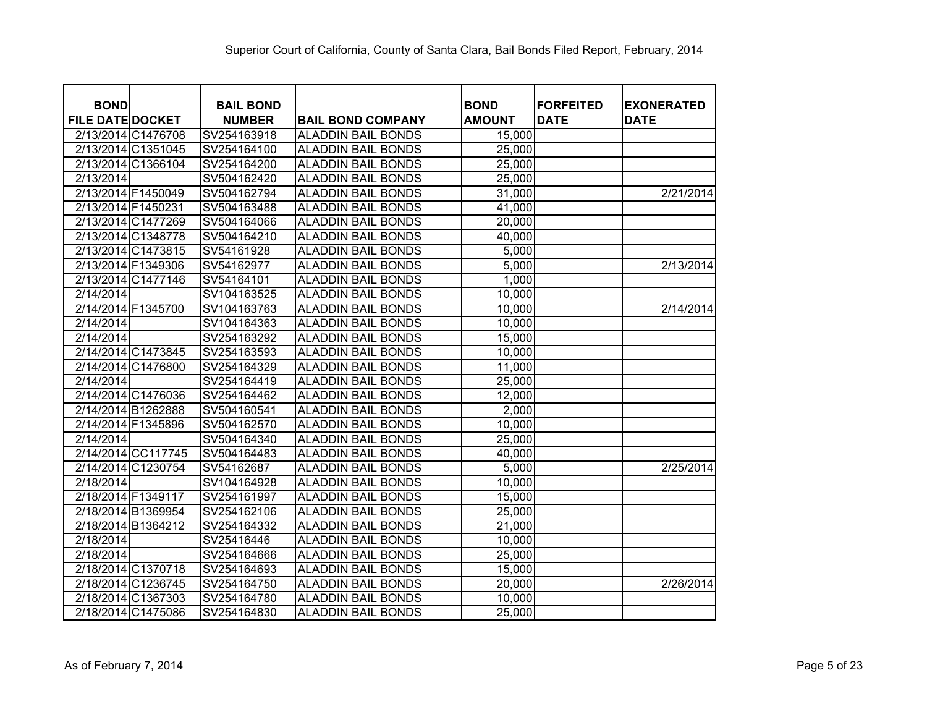| <b>BOND</b>             |                    | <b>BAIL BOND</b> |                           | <b>BOND</b>   | <b>FORFEITED</b> | <b>EXONERATED</b> |
|-------------------------|--------------------|------------------|---------------------------|---------------|------------------|-------------------|
| <b>FILE DATE DOCKET</b> |                    | <b>NUMBER</b>    | <b>BAIL BOND COMPANY</b>  | <b>AMOUNT</b> | <b>DATE</b>      | <b>DATE</b>       |
|                         | 2/13/2014 C1476708 | SV254163918      | <b>ALADDIN BAIL BONDS</b> | 15,000        |                  |                   |
|                         | 2/13/2014 C1351045 | SV254164100      | <b>ALADDIN BAIL BONDS</b> | 25,000        |                  |                   |
|                         | 2/13/2014 C1366104 | SV254164200      | <b>ALADDIN BAIL BONDS</b> | 25,000        |                  |                   |
| 2/13/2014               |                    | SV504162420      | <b>ALADDIN BAIL BONDS</b> | 25,000        |                  |                   |
|                         | 2/13/2014 F1450049 | SV504162794      | <b>ALADDIN BAIL BONDS</b> | 31,000        |                  | 2/21/2014         |
| 2/13/2014 F1450231      |                    | SV504163488      | <b>ALADDIN BAIL BONDS</b> | 41,000        |                  |                   |
|                         | 2/13/2014 C1477269 | SV504164066      | <b>ALADDIN BAIL BONDS</b> | 20,000        |                  |                   |
|                         | 2/13/2014 C1348778 | SV504164210      | <b>ALADDIN BAIL BONDS</b> | 40,000        |                  |                   |
|                         | 2/13/2014 C1473815 | SV54161928       | <b>ALADDIN BAIL BONDS</b> | 5,000         |                  |                   |
|                         | 2/13/2014 F1349306 | SV54162977       | <b>ALADDIN BAIL BONDS</b> | 5,000         |                  | 2/13/2014         |
|                         | 2/13/2014 C1477146 | SV54164101       | <b>ALADDIN BAIL BONDS</b> | 1,000         |                  |                   |
| 2/14/2014               |                    | SV104163525      | <b>ALADDIN BAIL BONDS</b> | 10,000        |                  |                   |
|                         | 2/14/2014 F1345700 | SV104163763      | <b>ALADDIN BAIL BONDS</b> | 10,000        |                  | 2/14/2014         |
| 2/14/2014               |                    | SV104164363      | <b>ALADDIN BAIL BONDS</b> | 10,000        |                  |                   |
| 2/14/2014               |                    | SV254163292      | <b>ALADDIN BAIL BONDS</b> | 15,000        |                  |                   |
|                         | 2/14/2014 C1473845 | SV254163593      | <b>ALADDIN BAIL BONDS</b> | 10,000        |                  |                   |
|                         | 2/14/2014 C1476800 | SV254164329      | <b>ALADDIN BAIL BONDS</b> | 11,000        |                  |                   |
| 2/14/2014               |                    | SV254164419      | <b>ALADDIN BAIL BONDS</b> | 25,000        |                  |                   |
|                         | 2/14/2014 C1476036 | SV254164462      | <b>ALADDIN BAIL BONDS</b> | 12,000        |                  |                   |
|                         | 2/14/2014 B1262888 | SV504160541      | <b>ALADDIN BAIL BONDS</b> | 2,000         |                  |                   |
|                         | 2/14/2014 F1345896 | SV504162570      | <b>ALADDIN BAIL BONDS</b> | 10,000        |                  |                   |
| 2/14/2014               |                    | SV504164340      | <b>ALADDIN BAIL BONDS</b> | 25,000        |                  |                   |
|                         | 2/14/2014 CC117745 | SV504164483      | <b>ALADDIN BAIL BONDS</b> | 40,000        |                  |                   |
|                         | 2/14/2014 C1230754 | SV54162687       | <b>ALADDIN BAIL BONDS</b> | 5,000         |                  | 2/25/2014         |
| 2/18/2014               |                    | SV104164928      | <b>ALADDIN BAIL BONDS</b> | 10,000        |                  |                   |
|                         | 2/18/2014 F1349117 | SV254161997      | <b>ALADDIN BAIL BONDS</b> | 15,000        |                  |                   |
|                         | 2/18/2014 B1369954 | SV254162106      | <b>ALADDIN BAIL BONDS</b> | 25,000        |                  |                   |
|                         | 2/18/2014 B1364212 | SV254164332      | <b>ALADDIN BAIL BONDS</b> | 21,000        |                  |                   |
| 2/18/2014               |                    | SV25416446       | <b>ALADDIN BAIL BONDS</b> | 10,000        |                  |                   |
| 2/18/2014               |                    | SV254164666      | <b>ALADDIN BAIL BONDS</b> | 25,000        |                  |                   |
|                         | 2/18/2014 C1370718 | SV254164693      | <b>ALADDIN BAIL BONDS</b> | 15,000        |                  |                   |
|                         | 2/18/2014 C1236745 | SV254164750      | <b>ALADDIN BAIL BONDS</b> | 20,000        |                  | 2/26/2014         |
|                         | 2/18/2014 C1367303 | SV254164780      | <b>ALADDIN BAIL BONDS</b> | 10,000        |                  |                   |
|                         | 2/18/2014 C1475086 | SV254164830      | <b>ALADDIN BAIL BONDS</b> | 25,000        |                  |                   |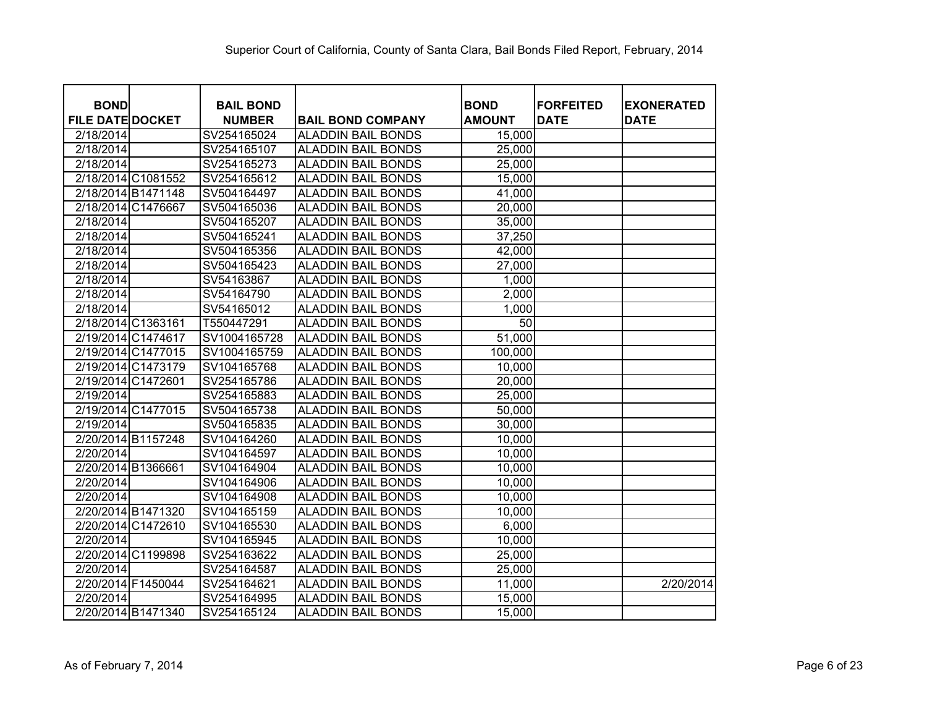| <b>BOND</b>             | <b>BAIL BOND</b> |                           | <b>BOND</b>   | <b>FORFEITED</b> | <b>EXONERATED</b> |
|-------------------------|------------------|---------------------------|---------------|------------------|-------------------|
| <b>FILE DATE DOCKET</b> | <b>NUMBER</b>    | <b>BAIL BOND COMPANY</b>  | <b>AMOUNT</b> | <b>DATE</b>      | <b>DATE</b>       |
| 2/18/2014               | SV254165024      | ALADDIN BAIL BONDS        | 15,000        |                  |                   |
| 2/18/2014               | SV254165107      | ALADDIN BAIL BONDS        | 25,000        |                  |                   |
| 2/18/2014               | SV254165273      | ALADDIN BAIL BONDS        | 25,000        |                  |                   |
| 2/18/2014 C1081552      | SV254165612      | <b>ALADDIN BAIL BONDS</b> | 15,000        |                  |                   |
| 2/18/2014 B1471148      | SV504164497      | <b>ALADDIN BAIL BONDS</b> | 41,000        |                  |                   |
| 2/18/2014 C1476667      | SV504165036      | <b>ALADDIN BAIL BONDS</b> | 20,000        |                  |                   |
| 2/18/2014               | SV504165207      | <b>ALADDIN BAIL BONDS</b> | 35,000        |                  |                   |
| 2/18/2014               | SV504165241      | <b>ALADDIN BAIL BONDS</b> | 37,250        |                  |                   |
| 2/18/2014               | SV504165356      | <b>ALADDIN BAIL BONDS</b> | 42,000        |                  |                   |
| 2/18/2014               | SV504165423      | <b>ALADDIN BAIL BONDS</b> | 27,000        |                  |                   |
| 2/18/2014               | SV54163867       | <b>ALADDIN BAIL BONDS</b> | 1,000         |                  |                   |
| 2/18/2014               | SV54164790       | <b>ALADDIN BAIL BONDS</b> | 2,000         |                  |                   |
| 2/18/2014               | SV54165012       | <b>ALADDIN BAIL BONDS</b> | 1,000         |                  |                   |
| 2/18/2014 C1363161      | T550447291       | <b>ALADDIN BAIL BONDS</b> | 50            |                  |                   |
| 2/19/2014 C1474617      | SV1004165728     | <b>ALADDIN BAIL BONDS</b> | 51,000        |                  |                   |
| 2/19/2014 C1477015      | SV1004165759     | <b>ALADDIN BAIL BONDS</b> | 100,000       |                  |                   |
| 2/19/2014 C1473179      | SV104165768      | <b>ALADDIN BAIL BONDS</b> | 10,000        |                  |                   |
| 2/19/2014 C1472601      | SV254165786      | <b>ALADDIN BAIL BONDS</b> | 20,000        |                  |                   |
| 2/19/2014               | SV254165883      | <b>ALADDIN BAIL BONDS</b> | 25,000        |                  |                   |
| 2/19/2014 C1477015      | SV504165738      | <b>ALADDIN BAIL BONDS</b> | 50,000        |                  |                   |
| 2/19/2014               | SV504165835      | <b>ALADDIN BAIL BONDS</b> | 30,000        |                  |                   |
| 2/20/2014 B1157248      | SV104164260      | ALADDIN BAIL BONDS        | 10,000        |                  |                   |
| 2/20/2014               | SV104164597      | ALADDIN BAIL BONDS        | 10,000        |                  |                   |
| 2/20/2014 B1366661      | SV104164904      | ALADDIN BAIL BONDS        | 10,000        |                  |                   |
| 2/20/2014               | SV104164906      | <b>ALADDIN BAIL BONDS</b> | 10,000        |                  |                   |
| 2/20/2014               | SV104164908      | ALADDIN BAIL BONDS        | 10,000        |                  |                   |
| 2/20/2014 B1471320      | SV104165159      | <b>ALADDIN BAIL BONDS</b> | 10,000        |                  |                   |
| 2/20/2014 C1472610      | SV104165530      | ALADDIN BAIL BONDS        | 6,000         |                  |                   |
| 2/20/2014               | SV104165945      | <b>ALADDIN BAIL BONDS</b> | 10,000        |                  |                   |
| 2/20/2014 C1199898      | SV254163622      | <b>ALADDIN BAIL BONDS</b> | 25,000        |                  |                   |
| 2/20/2014               | SV254164587      | <b>ALADDIN BAIL BONDS</b> | 25,000        |                  |                   |
| 2/20/2014 F1450044      | SV254164621      | <b>ALADDIN BAIL BONDS</b> | 11,000        |                  | 2/20/2014         |
| 2/20/2014               | SV254164995      | <b>ALADDIN BAIL BONDS</b> | 15,000        |                  |                   |
| 2/20/2014 B1471340      | SV254165124      | <b>ALADDIN BAIL BONDS</b> | 15,000        |                  |                   |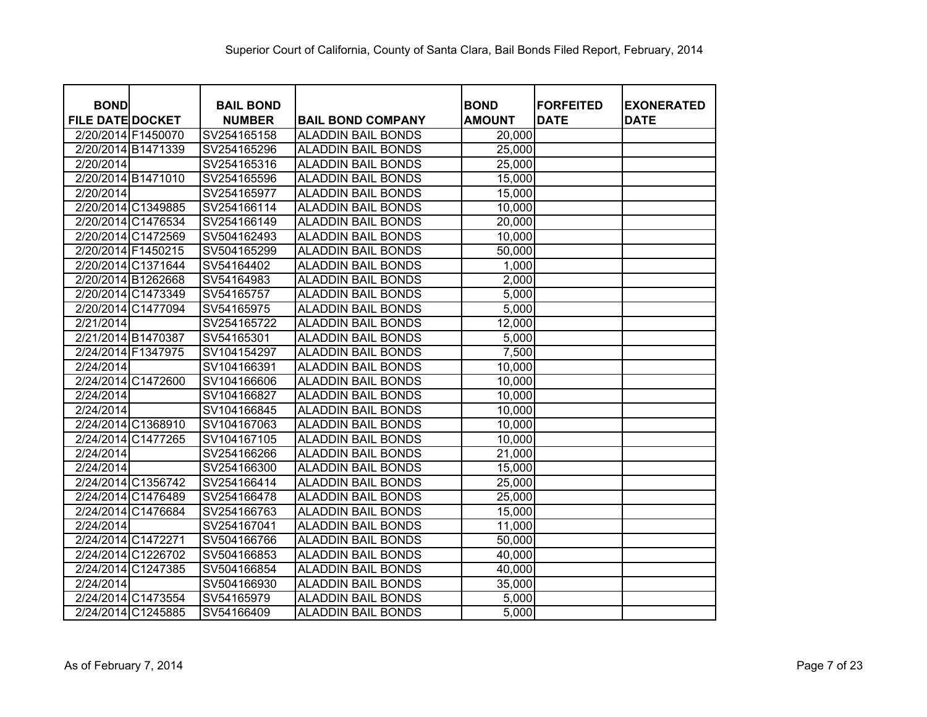| <b>BOND</b>             |                    | <b>BAIL BOND</b> |                           | <b>BOND</b>   | <b>IFORFEITED</b> | <b>EXONERATED</b> |
|-------------------------|--------------------|------------------|---------------------------|---------------|-------------------|-------------------|
| <b>FILE DATE DOCKET</b> |                    | <b>NUMBER</b>    | <b>BAIL BOND COMPANY</b>  | <b>AMOUNT</b> | <b>DATE</b>       | <b>DATE</b>       |
|                         | 2/20/2014 F1450070 | SV254165158      | <b>ALADDIN BAIL BONDS</b> | 20,000        |                   |                   |
|                         | 2/20/2014 B1471339 | SV254165296      | <b>ALADDIN BAIL BONDS</b> | 25,000        |                   |                   |
| 2/20/2014               |                    | SV254165316      | <b>ALADDIN BAIL BONDS</b> | 25,000        |                   |                   |
|                         | 2/20/2014 B1471010 | SV254165596      | <b>ALADDIN BAIL BONDS</b> | 15,000        |                   |                   |
| 2/20/2014               |                    | SV254165977      | <b>ALADDIN BAIL BONDS</b> | 15,000        |                   |                   |
|                         | 2/20/2014 C1349885 | SV254166114      | <b>ALADDIN BAIL BONDS</b> | 10,000        |                   |                   |
|                         | 2/20/2014 C1476534 | SV254166149      | <b>ALADDIN BAIL BONDS</b> | 20,000        |                   |                   |
|                         | 2/20/2014 C1472569 | SV504162493      | <b>ALADDIN BAIL BONDS</b> | 10,000        |                   |                   |
| 2/20/2014 F1450215      |                    | SV504165299      | <b>ALADDIN BAIL BONDS</b> | 50,000        |                   |                   |
|                         | 2/20/2014 C1371644 | SV54164402       | <b>ALADDIN BAIL BONDS</b> | 1,000         |                   |                   |
|                         | 2/20/2014 B1262668 | SV54164983       | <b>ALADDIN BAIL BONDS</b> | 2,000         |                   |                   |
|                         | 2/20/2014 C1473349 | SV54165757       | <b>ALADDIN BAIL BONDS</b> | 5,000         |                   |                   |
|                         | 2/20/2014 C1477094 | SV54165975       | <b>ALADDIN BAIL BONDS</b> | 5,000         |                   |                   |
| 2/21/2014               |                    | SV254165722      | <b>ALADDIN BAIL BONDS</b> | 12,000        |                   |                   |
|                         | 2/21/2014 B1470387 | SV54165301       | <b>ALADDIN BAIL BONDS</b> | 5,000         |                   |                   |
| 2/24/2014 F1347975      |                    | SV104154297      | <b>ALADDIN BAIL BONDS</b> | 7,500         |                   |                   |
| 2/24/2014               |                    | SV104166391      | <b>ALADDIN BAIL BONDS</b> | 10,000        |                   |                   |
|                         | 2/24/2014 C1472600 | SV104166606      | <b>ALADDIN BAIL BONDS</b> | 10,000        |                   |                   |
| 2/24/2014               |                    | SV104166827      | <b>ALADDIN BAIL BONDS</b> | 10,000        |                   |                   |
| 2/24/2014               |                    | SV104166845      | <b>ALADDIN BAIL BONDS</b> | 10,000        |                   |                   |
|                         | 2/24/2014 C1368910 | SV104167063      | <b>ALADDIN BAIL BONDS</b> | 10,000        |                   |                   |
|                         | 2/24/2014 C1477265 | SV104167105      | <b>ALADDIN BAIL BONDS</b> | 10,000        |                   |                   |
| 2/24/2014               |                    | SV254166266      | <b>ALADDIN BAIL BONDS</b> | 21,000        |                   |                   |
| 2/24/2014               |                    | SV254166300      | <b>ALADDIN BAIL BONDS</b> | 15,000        |                   |                   |
|                         | 2/24/2014 C1356742 | SV254166414      | <b>ALADDIN BAIL BONDS</b> | 25,000        |                   |                   |
|                         | 2/24/2014 C1476489 | SV254166478      | <b>ALADDIN BAIL BONDS</b> | 25,000        |                   |                   |
|                         | 2/24/2014 C1476684 | SV254166763      | <b>ALADDIN BAIL BONDS</b> | 15,000        |                   |                   |
| 2/24/2014               |                    | SV254167041      | <b>ALADDIN BAIL BONDS</b> | 11,000        |                   |                   |
|                         | 2/24/2014 C1472271 | SV504166766      | <b>ALADDIN BAIL BONDS</b> | 50,000        |                   |                   |
|                         | 2/24/2014 C1226702 | SV504166853      | <b>ALADDIN BAIL BONDS</b> | 40,000        |                   |                   |
|                         | 2/24/2014 C1247385 | SV504166854      | <b>ALADDIN BAIL BONDS</b> | 40,000        |                   |                   |
| 2/24/2014               |                    | SV504166930      | <b>ALADDIN BAIL BONDS</b> | 35,000        |                   |                   |
|                         | 2/24/2014 C1473554 | SV54165979       | <b>ALADDIN BAIL BONDS</b> | 5,000         |                   |                   |
|                         | 2/24/2014 C1245885 | SV54166409       | <b>ALADDIN BAIL BONDS</b> | 5,000         |                   |                   |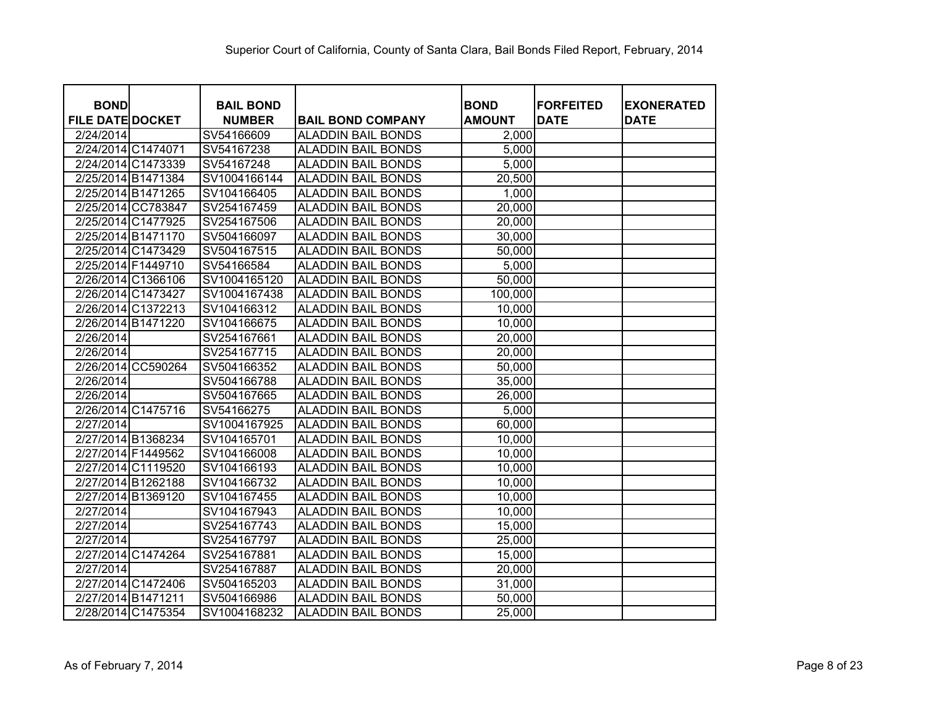| <b>BOND</b>             |                    | <b>BAIL BOND</b> |                           | <b>BOND</b>   | <b>FORFEITED</b> | <b>EXONERATED</b> |
|-------------------------|--------------------|------------------|---------------------------|---------------|------------------|-------------------|
| <b>FILE DATE DOCKET</b> |                    | <b>NUMBER</b>    | <b>BAIL BOND COMPANY</b>  | <b>AMOUNT</b> | <b>DATE</b>      | <b>DATE</b>       |
| 2/24/2014               |                    | SV54166609       | <b>ALADDIN BAIL BONDS</b> | 2,000         |                  |                   |
|                         | 2/24/2014 C1474071 | SV54167238       | <b>ALADDIN BAIL BONDS</b> | 5,000         |                  |                   |
|                         | 2/24/2014 C1473339 | SV54167248       | <b>ALADDIN BAIL BONDS</b> | 5,000         |                  |                   |
|                         | 2/25/2014 B1471384 | SV1004166144     | <b>ALADDIN BAIL BONDS</b> | 20,500        |                  |                   |
|                         | 2/25/2014 B1471265 | SV104166405      | <b>ALADDIN BAIL BONDS</b> | 1,000         |                  |                   |
|                         | 2/25/2014 CC783847 | SV254167459      | <b>ALADDIN BAIL BONDS</b> | 20,000        |                  |                   |
|                         | 2/25/2014 C1477925 | SV254167506      | <b>ALADDIN BAIL BONDS</b> | 20,000        |                  |                   |
|                         | 2/25/2014 B1471170 | SV504166097      | <b>ALADDIN BAIL BONDS</b> | 30,000        |                  |                   |
|                         | 2/25/2014 C1473429 | SV504167515      | <b>ALADDIN BAIL BONDS</b> | 50,000        |                  |                   |
|                         | 2/25/2014 F1449710 | SV54166584       | <b>ALADDIN BAIL BONDS</b> | 5,000         |                  |                   |
|                         | 2/26/2014 C1366106 | SV1004165120     | <b>ALADDIN BAIL BONDS</b> | 50,000        |                  |                   |
|                         | 2/26/2014 C1473427 | SV1004167438     | <b>ALADDIN BAIL BONDS</b> | 100,000       |                  |                   |
|                         | 2/26/2014 C1372213 | SV104166312      | <b>ALADDIN BAIL BONDS</b> | 10,000        |                  |                   |
|                         | 2/26/2014 B1471220 | SV104166675      | <b>ALADDIN BAIL BONDS</b> | 10,000        |                  |                   |
| 2/26/2014               |                    | SV254167661      | <b>ALADDIN BAIL BONDS</b> | 20,000        |                  |                   |
| 2/26/2014               |                    | SV254167715      | <b>ALADDIN BAIL BONDS</b> | 20,000        |                  |                   |
|                         | 2/26/2014 CC590264 | SV504166352      | <b>ALADDIN BAIL BONDS</b> | 50,000        |                  |                   |
| 2/26/2014               |                    | SV504166788      | <b>ALADDIN BAIL BONDS</b> | 35,000        |                  |                   |
| 2/26/2014               |                    | SV504167665      | <b>ALADDIN BAIL BONDS</b> | 26,000        |                  |                   |
|                         | 2/26/2014 C1475716 | SV54166275       | <b>ALADDIN BAIL BONDS</b> | 5,000         |                  |                   |
| 2/27/2014               |                    | SV1004167925     | <b>ALADDIN BAIL BONDS</b> | 60,000        |                  |                   |
|                         | 2/27/2014 B1368234 | SV104165701      | <b>ALADDIN BAIL BONDS</b> | 10,000        |                  |                   |
| 2/27/2014 F1449562      |                    | SV104166008      | <b>ALADDIN BAIL BONDS</b> | 10,000        |                  |                   |
|                         | 2/27/2014 C1119520 | SV104166193      | <b>ALADDIN BAIL BONDS</b> | 10,000        |                  |                   |
|                         | 2/27/2014 B1262188 | SV104166732      | <b>ALADDIN BAIL BONDS</b> | 10,000        |                  |                   |
|                         | 2/27/2014 B1369120 | SV104167455      | <b>ALADDIN BAIL BONDS</b> | 10,000        |                  |                   |
| 2/27/2014               |                    | SV104167943      | <b>ALADDIN BAIL BONDS</b> | 10,000        |                  |                   |
| 2/27/2014               |                    | SV254167743      | <b>ALADDIN BAIL BONDS</b> | 15,000        |                  |                   |
| 2/27/2014               |                    | SV254167797      | <b>ALADDIN BAIL BONDS</b> | 25,000        |                  |                   |
|                         | 2/27/2014 C1474264 | SV254167881      | <b>ALADDIN BAIL BONDS</b> | 15,000        |                  |                   |
| 2/27/2014               |                    | SV254167887      | <b>ALADDIN BAIL BONDS</b> | 20,000        |                  |                   |
|                         | 2/27/2014 C1472406 | SV504165203      | <b>ALADDIN BAIL BONDS</b> | 31,000        |                  |                   |
|                         | 2/27/2014 B1471211 | SV504166986      | <b>ALADDIN BAIL BONDS</b> | 50,000        |                  |                   |
|                         | 2/28/2014 C1475354 | SV1004168232     | <b>ALADDIN BAIL BONDS</b> | 25,000        |                  |                   |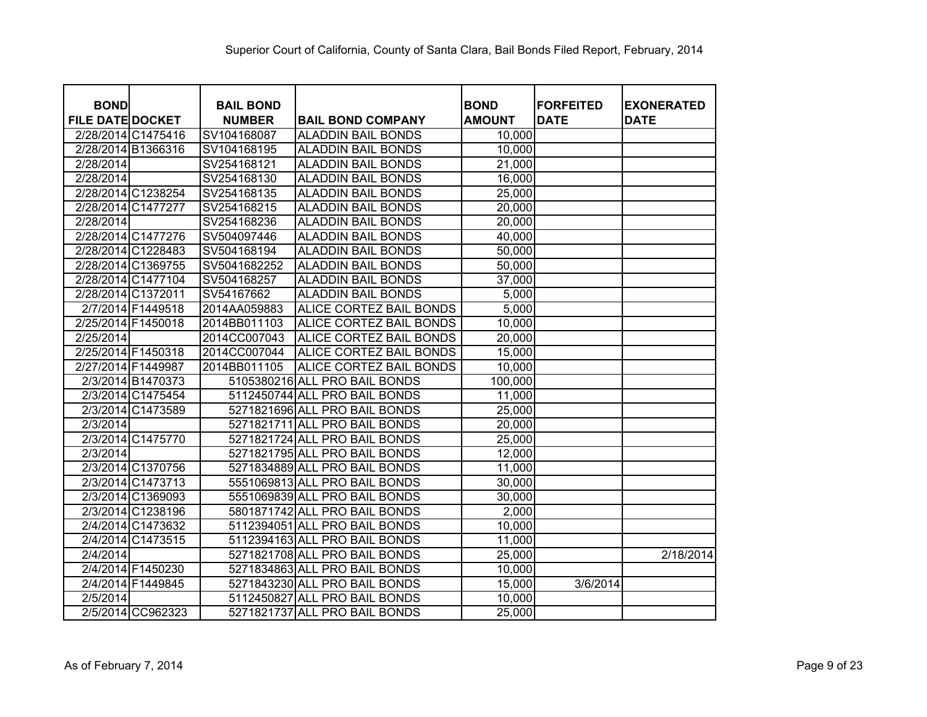| <b>BOND</b>             |                    | <b>BAIL BOND</b> |                               |                              | <b>IFORFEITED</b> |                                  |
|-------------------------|--------------------|------------------|-------------------------------|------------------------------|-------------------|----------------------------------|
| <b>FILE DATE DOCKET</b> |                    | <b>NUMBER</b>    | <b>BAIL BOND COMPANY</b>      | <b>BOND</b><br><b>AMOUNT</b> | <b>DATE</b>       | <b>EXONERATED</b><br><b>DATE</b> |
|                         | 2/28/2014 C1475416 | SV104168087      | <b>ALADDIN BAIL BONDS</b>     | 10,000                       |                   |                                  |
|                         | 2/28/2014 B1366316 | SV104168195      | <b>ALADDIN BAIL BONDS</b>     | 10,000                       |                   |                                  |
| 2/28/2014               |                    | SV254168121      | <b>ALADDIN BAIL BONDS</b>     | 21,000                       |                   |                                  |
| 2/28/2014               |                    | SV254168130      | <b>ALADDIN BAIL BONDS</b>     | 16,000                       |                   |                                  |
|                         | 2/28/2014 C1238254 | SV254168135      | <b>ALADDIN BAIL BONDS</b>     | 25,000                       |                   |                                  |
| 2/28/2014 C1477277      |                    | SV254168215      | <b>ALADDIN BAIL BONDS</b>     | 20,000                       |                   |                                  |
| 2/28/2014               |                    | SV254168236      | <b>ALADDIN BAIL BONDS</b>     | 20,000                       |                   |                                  |
|                         | 2/28/2014 C1477276 | SV504097446      | <b>ALADDIN BAIL BONDS</b>     | 40,000                       |                   |                                  |
|                         | 2/28/2014 C1228483 | SV504168194      | <b>ALADDIN BAIL BONDS</b>     | 50,000                       |                   |                                  |
|                         | 2/28/2014 C1369755 | SV5041682252     | <b>ALADDIN BAIL BONDS</b>     | 50,000                       |                   |                                  |
|                         | 2/28/2014 C1477104 | SV504168257      | <b>ALADDIN BAIL BONDS</b>     | 37,000                       |                   |                                  |
| 2/28/2014 C1372011      |                    | SV54167662       | <b>ALADDIN BAIL BONDS</b>     | 5,000                        |                   |                                  |
|                         | 2/7/2014 F1449518  | 2014AA059883     | ALICE CORTEZ BAIL BONDS       | 5,000                        |                   |                                  |
| 2/25/2014 F1450018      |                    | 2014BB011103     | ALICE CORTEZ BAIL BONDS       | 10,000                       |                   |                                  |
| 2/25/2014               |                    | 2014CC007043     | ALICE CORTEZ BAIL BONDS       | 20,000                       |                   |                                  |
| 2/25/2014 F1450318      |                    | 2014CC007044     | ALICE CORTEZ BAIL BONDS       | 15,000                       |                   |                                  |
| 2/27/2014 F1449987      |                    | 2014BB011105     | ALICE CORTEZ BAIL BONDS       | 10,000                       |                   |                                  |
|                         | 2/3/2014 B1470373  |                  | 5105380216 ALL PRO BAIL BONDS | 100,000                      |                   |                                  |
|                         | 2/3/2014 C1475454  |                  | 5112450744 ALL PRO BAIL BONDS | 11,000                       |                   |                                  |
|                         | 2/3/2014 C1473589  |                  | 5271821696 ALL PRO BAIL BONDS | 25,000                       |                   |                                  |
| 2/3/2014                |                    |                  | 5271821711 ALL PRO BAIL BONDS | 20,000                       |                   |                                  |
|                         | 2/3/2014 C1475770  |                  | 5271821724 ALL PRO BAIL BONDS | 25,000                       |                   |                                  |
| 2/3/2014                |                    |                  | 5271821795 ALL PRO BAIL BONDS | 12,000                       |                   |                                  |
|                         | 2/3/2014 C1370756  |                  | 5271834889 ALL PRO BAIL BONDS | 11,000                       |                   |                                  |
|                         | 2/3/2014 C1473713  |                  | 5551069813 ALL PRO BAIL BONDS | 30,000                       |                   |                                  |
|                         | 2/3/2014 C1369093  |                  | 5551069839 ALL PRO BAIL BONDS | 30,000                       |                   |                                  |
|                         | 2/3/2014 C1238196  |                  | 5801871742 ALL PRO BAIL BONDS | 2,000                        |                   |                                  |
|                         | 2/4/2014 C1473632  |                  | 5112394051 ALL PRO BAIL BONDS | 10,000                       |                   |                                  |
|                         | 2/4/2014 C1473515  |                  | 5112394163 ALL PRO BAIL BONDS | 11,000                       |                   |                                  |
| 2/4/2014                |                    |                  | 5271821708 ALL PRO BAIL BONDS | 25,000                       |                   | 2/18/2014                        |
|                         | 2/4/2014 F1450230  |                  | 5271834863 ALL PRO BAIL BONDS | 10,000                       |                   |                                  |
|                         | 2/4/2014 F1449845  |                  | 5271843230 ALL PRO BAIL BONDS | 15,000                       | 3/6/2014          |                                  |
| 2/5/2014                |                    |                  | 5112450827 ALL PRO BAIL BONDS | 10,000                       |                   |                                  |
|                         | 2/5/2014 CC962323  |                  | 5271821737 ALL PRO BAIL BONDS | 25,000                       |                   |                                  |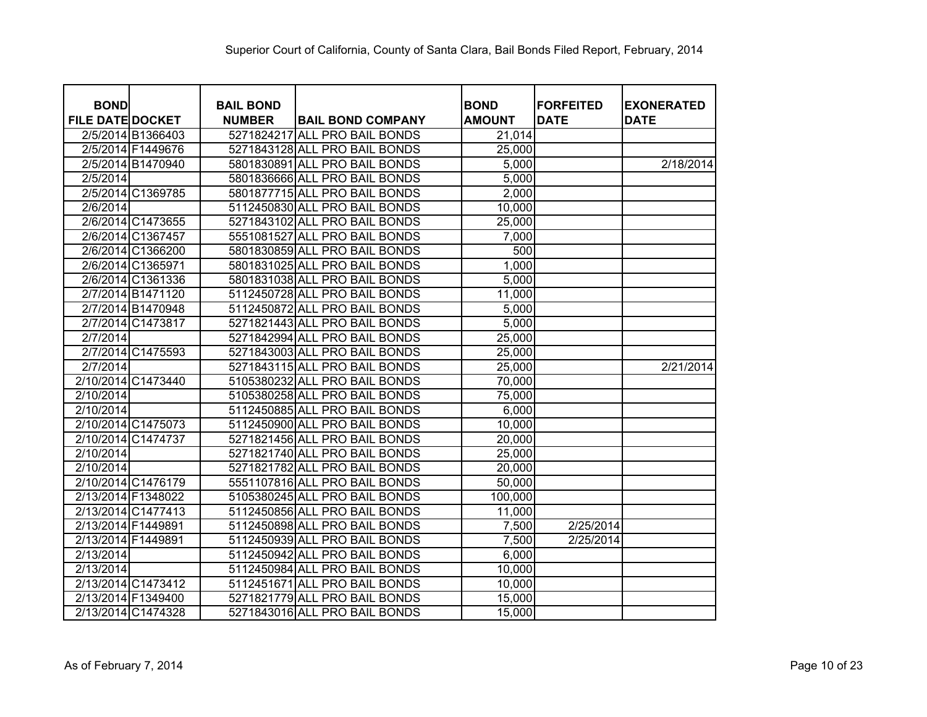| <b>BOND</b>             |                    | <b>BAIL BOND</b> |                               | <b>BOND</b>   | <b>FORFEITED</b> | <b>EXONERATED</b> |
|-------------------------|--------------------|------------------|-------------------------------|---------------|------------------|-------------------|
| <b>FILE DATE DOCKET</b> |                    | <b>NUMBER</b>    | <b>BAIL BOND COMPANY</b>      | <b>AMOUNT</b> | <b>DATE</b>      | <b>DATE</b>       |
|                         | 2/5/2014 B1366403  |                  | 5271824217 ALL PRO BAIL BONDS | 21,014        |                  |                   |
|                         | 2/5/2014 F1449676  |                  | 5271843128 ALL PRO BAIL BONDS | 25,000        |                  |                   |
|                         | 2/5/2014 B1470940  |                  | 5801830891 ALL PRO BAIL BONDS | 5,000         |                  | 2/18/2014         |
| 2/5/2014                |                    |                  | 5801836666 ALL PRO BAIL BONDS | 5,000         |                  |                   |
|                         | 2/5/2014 C1369785  |                  | 5801877715 ALL PRO BAIL BONDS | 2,000         |                  |                   |
| 2/6/2014                |                    |                  | 5112450830 ALL PRO BAIL BONDS | 10,000        |                  |                   |
|                         | 2/6/2014 C1473655  |                  | 5271843102 ALL PRO BAIL BONDS | 25,000        |                  |                   |
|                         | 2/6/2014 C1367457  |                  | 5551081527 ALL PRO BAIL BONDS | 7,000         |                  |                   |
|                         | 2/6/2014 C1366200  |                  | 5801830859 ALL PRO BAIL BONDS | 500           |                  |                   |
|                         | 2/6/2014 C1365971  |                  | 5801831025 ALL PRO BAIL BONDS | 1,000         |                  |                   |
|                         | 2/6/2014 C1361336  |                  | 5801831038 ALL PRO BAIL BONDS | 5,000         |                  |                   |
|                         | 2/7/2014 B1471120  |                  | 5112450728 ALL PRO BAIL BONDS | 11,000        |                  |                   |
|                         | 2/7/2014 B1470948  |                  | 5112450872 ALL PRO BAIL BONDS | 5,000         |                  |                   |
|                         | 2/7/2014 C1473817  |                  | 5271821443 ALL PRO BAIL BONDS | 5,000         |                  |                   |
| 2/7/2014                |                    |                  | 5271842994 ALL PRO BAIL BONDS | 25,000        |                  |                   |
|                         | 2/7/2014 C1475593  |                  | 5271843003 ALL PRO BAIL BONDS | 25,000        |                  |                   |
| 2/7/2014                |                    |                  | 5271843115 ALL PRO BAIL BONDS | 25,000        |                  | 2/21/2014         |
| 2/10/2014 C1473440      |                    |                  | 5105380232 ALL PRO BAIL BONDS | 70,000        |                  |                   |
| 2/10/2014               |                    |                  | 5105380258 ALL PRO BAIL BONDS | 75,000        |                  |                   |
| 2/10/2014               |                    |                  | 5112450885 ALL PRO BAIL BONDS | 6,000         |                  |                   |
|                         | 2/10/2014 C1475073 |                  | 5112450900 ALL PRO BAIL BONDS | 10,000        |                  |                   |
| 2/10/2014 C1474737      |                    |                  | 5271821456 ALL PRO BAIL BONDS | 20,000        |                  |                   |
| 2/10/2014               |                    |                  | 5271821740 ALL PRO BAIL BONDS | 25,000        |                  |                   |
| 2/10/2014               |                    |                  | 5271821782 ALL PRO BAIL BONDS | 20,000        |                  |                   |
|                         | 2/10/2014 C1476179 |                  | 5551107816 ALL PRO BAIL BONDS | 50,000        |                  |                   |
| 2/13/2014 F1348022      |                    |                  | 5105380245 ALL PRO BAIL BONDS | 100,000       |                  |                   |
| 2/13/2014 C1477413      |                    |                  | 5112450856 ALL PRO BAIL BONDS | 11,000        |                  |                   |
| 2/13/2014 F1449891      |                    |                  | 5112450898 ALL PRO BAIL BONDS | 7,500         | 2/25/2014        |                   |
| 2/13/2014 F1449891      |                    |                  | 5112450939 ALL PRO BAIL BONDS | 7,500         | 2/25/2014        |                   |
| 2/13/2014               |                    |                  | 5112450942 ALL PRO BAIL BONDS | 6,000         |                  |                   |
| 2/13/2014               |                    |                  | 5112450984 ALL PRO BAIL BONDS | 10,000        |                  |                   |
|                         | 2/13/2014 C1473412 |                  | 5112451671 ALL PRO BAIL BONDS | 10,000        |                  |                   |
| 2/13/2014 F1349400      |                    |                  | 5271821779 ALL PRO BAIL BONDS | 15,000        |                  |                   |
| 2/13/2014 C1474328      |                    |                  | 5271843016 ALL PRO BAIL BONDS | 15,000        |                  |                   |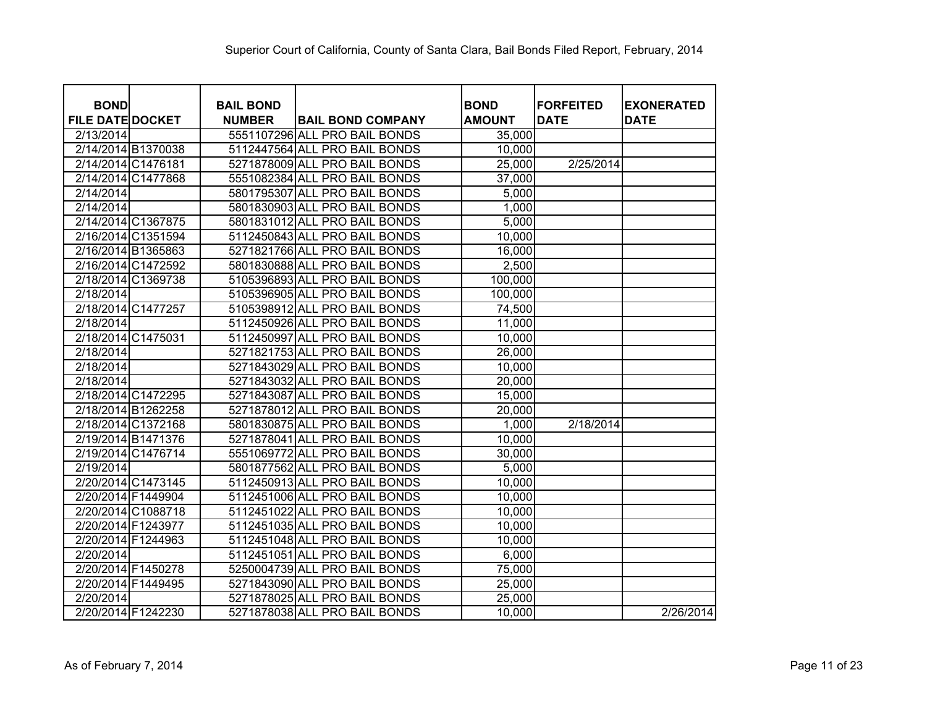| <b>BOND</b>             |                    | <b>BAIL BOND</b> |                               | <b>BOND</b>   | <b>IFORFEITED</b> | <b>EXONERATED</b> |
|-------------------------|--------------------|------------------|-------------------------------|---------------|-------------------|-------------------|
| <b>FILE DATE DOCKET</b> |                    | <b>NUMBER</b>    | <b>BAIL BOND COMPANY</b>      | <b>AMOUNT</b> | <b>DATE</b>       | <b>DATE</b>       |
| 2/13/2014               |                    |                  | 5551107296 ALL PRO BAIL BONDS | 35,000        |                   |                   |
|                         | 2/14/2014 B1370038 |                  | 5112447564 ALL PRO BAIL BONDS | 10,000        |                   |                   |
|                         | 2/14/2014 C1476181 |                  | 5271878009 ALL PRO BAIL BONDS | 25,000        | 2/25/2014         |                   |
|                         | 2/14/2014 C1477868 |                  | 5551082384 ALL PRO BAIL BONDS | 37,000        |                   |                   |
| 2/14/2014               |                    |                  | 5801795307 ALL PRO BAIL BONDS | 5,000         |                   |                   |
| 2/14/2014               |                    |                  | 5801830903 ALL PRO BAIL BONDS | 1,000         |                   |                   |
|                         | 2/14/2014 C1367875 |                  | 5801831012 ALL PRO BAIL BONDS | 5,000         |                   |                   |
|                         | 2/16/2014 C1351594 |                  | 5112450843 ALL PRO BAIL BONDS | 10,000        |                   |                   |
|                         | 2/16/2014 B1365863 |                  | 5271821766 ALL PRO BAIL BONDS | 16,000        |                   |                   |
|                         | 2/16/2014 C1472592 |                  | 5801830888 ALL PRO BAIL BONDS | 2,500         |                   |                   |
|                         | 2/18/2014 C1369738 |                  | 5105396893 ALL PRO BAIL BONDS | 100,000       |                   |                   |
| 2/18/2014               |                    |                  | 5105396905 ALL PRO BAIL BONDS | 100,000       |                   |                   |
|                         | 2/18/2014 C1477257 |                  | 5105398912 ALL PRO BAIL BONDS | 74,500        |                   |                   |
| 2/18/2014               |                    |                  | 5112450926 ALL PRO BAIL BONDS | 11,000        |                   |                   |
|                         | 2/18/2014 C1475031 |                  | 5112450997 ALL PRO BAIL BONDS | 10,000        |                   |                   |
| 2/18/2014               |                    |                  | 5271821753 ALL PRO BAIL BONDS | 26,000        |                   |                   |
| 2/18/2014               |                    |                  | 5271843029 ALL PRO BAIL BONDS | 10,000        |                   |                   |
| 2/18/2014               |                    |                  | 5271843032 ALL PRO BAIL BONDS | 20,000        |                   |                   |
|                         | 2/18/2014 C1472295 |                  | 5271843087 ALL PRO BAIL BONDS | 15,000        |                   |                   |
|                         | 2/18/2014 B1262258 |                  | 5271878012 ALL PRO BAIL BONDS | 20,000        |                   |                   |
|                         | 2/18/2014 C1372168 |                  | 5801830875 ALL PRO BAIL BONDS | 1,000         | 2/18/2014         |                   |
|                         | 2/19/2014 B1471376 |                  | 5271878041 ALL PRO BAIL BONDS | 10,000        |                   |                   |
|                         | 2/19/2014 C1476714 |                  | 5551069772 ALL PRO BAIL BONDS | 30,000        |                   |                   |
| 2/19/2014               |                    |                  | 5801877562 ALL PRO BAIL BONDS | 5,000         |                   |                   |
|                         | 2/20/2014 C1473145 |                  | 5112450913 ALL PRO BAIL BONDS | 10,000        |                   |                   |
|                         | 2/20/2014 F1449904 |                  | 5112451006 ALL PRO BAIL BONDS | 10,000        |                   |                   |
|                         | 2/20/2014 C1088718 |                  | 5112451022 ALL PRO BAIL BONDS | 10,000        |                   |                   |
|                         | 2/20/2014 F1243977 |                  | 5112451035 ALL PRO BAIL BONDS | 10,000        |                   |                   |
|                         | 2/20/2014 F1244963 |                  | 5112451048 ALL PRO BAIL BONDS | 10,000        |                   |                   |
| 2/20/2014               |                    |                  | 5112451051 ALL PRO BAIL BONDS | 6,000         |                   |                   |
|                         | 2/20/2014 F1450278 |                  | 5250004739 ALL PRO BAIL BONDS | 75,000        |                   |                   |
|                         | 2/20/2014 F1449495 |                  | 5271843090 ALL PRO BAIL BONDS | 25,000        |                   |                   |
| 2/20/2014               |                    |                  | 5271878025 ALL PRO BAIL BONDS | 25,000        |                   |                   |
|                         | 2/20/2014 F1242230 |                  | 5271878038 ALL PRO BAIL BONDS | 10,000        |                   | 2/26/2014         |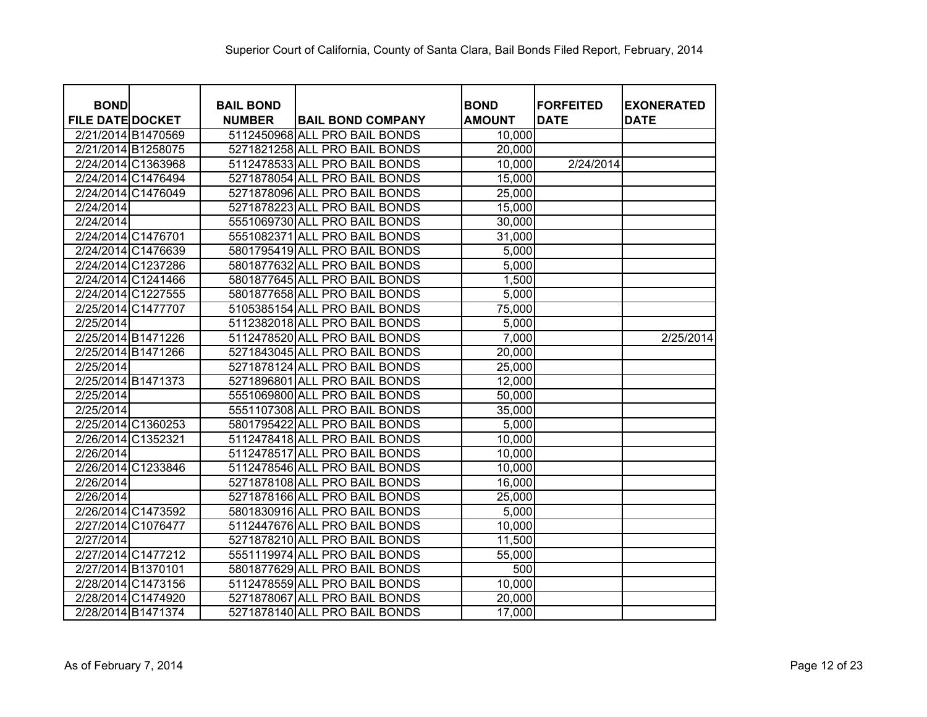| <b>BOND</b>             |                    |                                   |                               | <b>BOND</b>   | <b>FORFEITED</b> |                                  |
|-------------------------|--------------------|-----------------------------------|-------------------------------|---------------|------------------|----------------------------------|
| <b>FILE DATE DOCKET</b> |                    | <b>BAIL BOND</b><br><b>NUMBER</b> | <b>BAIL BOND COMPANY</b>      | <b>AMOUNT</b> | <b>DATE</b>      | <b>EXONERATED</b><br><b>DATE</b> |
|                         | 2/21/2014 B1470569 |                                   | 5112450968 ALL PRO BAIL BONDS | 10,000        |                  |                                  |
|                         | 2/21/2014 B1258075 |                                   | 5271821258 ALL PRO BAIL BONDS | 20,000        |                  |                                  |
|                         | 2/24/2014 C1363968 |                                   | 5112478533 ALL PRO BAIL BONDS | 10,000        | 2/24/2014        |                                  |
|                         | 2/24/2014 C1476494 |                                   | 5271878054 ALL PRO BAIL BONDS | 15,000        |                  |                                  |
|                         | 2/24/2014 C1476049 |                                   | 5271878096 ALL PRO BAIL BONDS | 25,000        |                  |                                  |
| 2/24/2014               |                    |                                   | 5271878223 ALL PRO BAIL BONDS | 15,000        |                  |                                  |
| 2/24/2014               |                    |                                   | 5551069730 ALL PRO BAIL BONDS | 30,000        |                  |                                  |
|                         | 2/24/2014 C1476701 |                                   | 5551082371 ALL PRO BAIL BONDS | 31,000        |                  |                                  |
|                         | 2/24/2014 C1476639 |                                   | 5801795419 ALL PRO BAIL BONDS | 5,000         |                  |                                  |
|                         | 2/24/2014 C1237286 |                                   | 5801877632 ALL PRO BAIL BONDS | 5,000         |                  |                                  |
|                         | 2/24/2014 C1241466 |                                   | 5801877645 ALL PRO BAIL BONDS | 1,500         |                  |                                  |
|                         | 2/24/2014 C1227555 |                                   | 5801877658 ALL PRO BAIL BONDS | 5,000         |                  |                                  |
|                         | 2/25/2014 C1477707 |                                   | 5105385154 ALL PRO BAIL BONDS | 75,000        |                  |                                  |
| 2/25/2014               |                    |                                   | 5112382018 ALL PRO BAIL BONDS | 5,000         |                  |                                  |
|                         | 2/25/2014 B1471226 |                                   | 5112478520 ALL PRO BAIL BONDS | 7,000         |                  | 2/25/2014                        |
|                         | 2/25/2014 B1471266 |                                   | 5271843045 ALL PRO BAIL BONDS | 20,000        |                  |                                  |
| 2/25/2014               |                    |                                   | 5271878124 ALL PRO BAIL BONDS | 25,000        |                  |                                  |
|                         | 2/25/2014 B1471373 |                                   | 5271896801 ALL PRO BAIL BONDS | 12,000        |                  |                                  |
| 2/25/2014               |                    |                                   | 5551069800 ALL PRO BAIL BONDS | 50,000        |                  |                                  |
| 2/25/2014               |                    |                                   | 5551107308 ALL PRO BAIL BONDS | 35,000        |                  |                                  |
|                         | 2/25/2014 C1360253 |                                   | 5801795422 ALL PRO BAIL BONDS | 5,000         |                  |                                  |
|                         | 2/26/2014 C1352321 |                                   | 5112478418 ALL PRO BAIL BONDS | 10,000        |                  |                                  |
| 2/26/2014               |                    |                                   | 5112478517 ALL PRO BAIL BONDS | 10,000        |                  |                                  |
|                         | 2/26/2014 C1233846 |                                   | 5112478546 ALL PRO BAIL BONDS | 10,000        |                  |                                  |
| 2/26/2014               |                    |                                   | 5271878108 ALL PRO BAIL BONDS | 16,000        |                  |                                  |
| 2/26/2014               |                    |                                   | 5271878166 ALL PRO BAIL BONDS | 25,000        |                  |                                  |
|                         | 2/26/2014 C1473592 |                                   | 5801830916 ALL PRO BAIL BONDS | 5,000         |                  |                                  |
|                         | 2/27/2014 C1076477 |                                   | 5112447676 ALL PRO BAIL BONDS | 10,000        |                  |                                  |
| 2/27/2014               |                    |                                   | 5271878210 ALL PRO BAIL BONDS | 11,500        |                  |                                  |
|                         | 2/27/2014 C1477212 |                                   | 5551119974 ALL PRO BAIL BONDS | 55,000        |                  |                                  |
|                         | 2/27/2014 B1370101 |                                   | 5801877629 ALL PRO BAIL BONDS | 500           |                  |                                  |
|                         | 2/28/2014 C1473156 |                                   | 5112478559 ALL PRO BAIL BONDS | 10,000        |                  |                                  |
|                         | 2/28/2014 C1474920 |                                   | 5271878067 ALL PRO BAIL BONDS | 20,000        |                  |                                  |
|                         | 2/28/2014 B1471374 |                                   | 5271878140 ALL PRO BAIL BONDS | 17,000        |                  |                                  |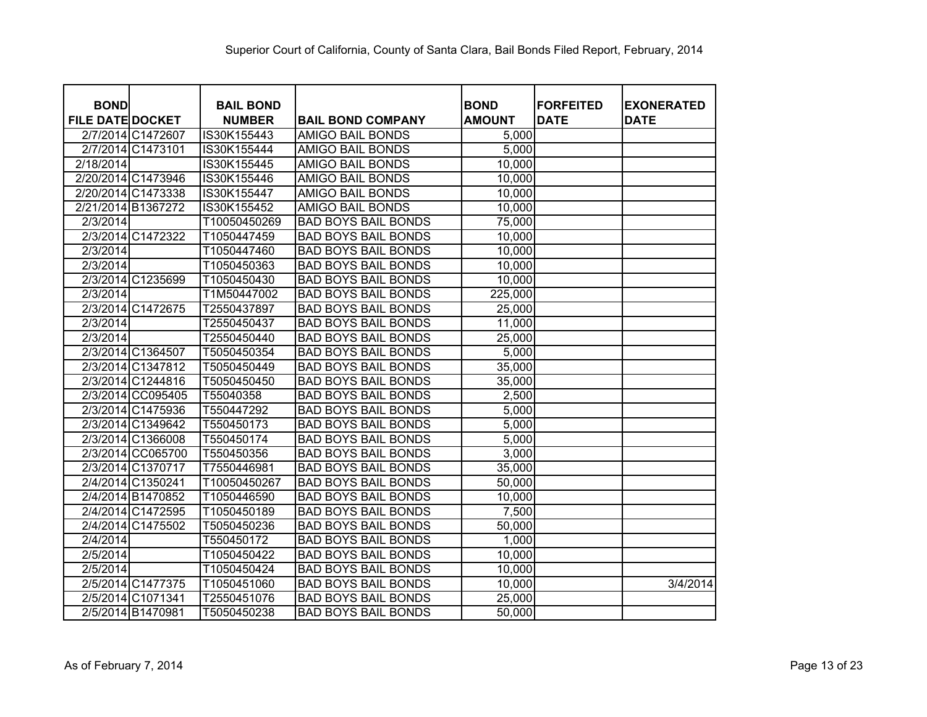| <b>BOND</b>             |                   | <b>BAIL BOND</b> |                            | <b>BOND</b>   | <b>FORFEITED</b> | <b>EXONERATED</b> |
|-------------------------|-------------------|------------------|----------------------------|---------------|------------------|-------------------|
| <b>FILE DATE DOCKET</b> |                   | <b>NUMBER</b>    | <b>BAIL BOND COMPANY</b>   | <b>AMOUNT</b> | <b>DATE</b>      | <b>DATE</b>       |
| 2/7/2014 C1472607       |                   | IS30K155443      | <b>AMIGO BAIL BONDS</b>    | 5,000         |                  |                   |
| 2/7/2014 C1473101       |                   | IS30K155444      | <b>AMIGO BAIL BONDS</b>    | 5,000         |                  |                   |
| 2/18/2014               |                   | IS30K155445      | <b>AMIGO BAIL BONDS</b>    | 10,000        |                  |                   |
| 2/20/2014 C1473946      |                   | IS30K155446      | <b>AMIGO BAIL BONDS</b>    | 10,000        |                  |                   |
| 2/20/2014 C1473338      |                   | IS30K155447      | <b>AMIGO BAIL BONDS</b>    | 10,000        |                  |                   |
| 2/21/2014 B1367272      |                   | IS30K155452      | <b>AMIGO BAIL BONDS</b>    | 10,000        |                  |                   |
| 2/3/2014                |                   | T10050450269     | <b>BAD BOYS BAIL BONDS</b> | 75,000        |                  |                   |
| 2/3/2014 C1472322       |                   | T1050447459      | <b>BAD BOYS BAIL BONDS</b> | 10,000        |                  |                   |
| 2/3/2014                |                   | T1050447460      | <b>BAD BOYS BAIL BONDS</b> | 10,000        |                  |                   |
| 2/3/2014                |                   | T1050450363      | <b>BAD BOYS BAIL BONDS</b> | 10,000        |                  |                   |
| 2/3/2014 C1235699       |                   | T1050450430      | <b>BAD BOYS BAIL BONDS</b> | 10,000        |                  |                   |
| 2/3/2014                |                   | T1M50447002      | <b>BAD BOYS BAIL BONDS</b> | 225,000       |                  |                   |
| 2/3/2014 C1472675       |                   | T2550437897      | <b>BAD BOYS BAIL BONDS</b> | 25,000        |                  |                   |
| 2/3/2014                |                   | T2550450437      | <b>BAD BOYS BAIL BONDS</b> | 11,000        |                  |                   |
| 2/3/2014                |                   | T2550450440      | <b>BAD BOYS BAIL BONDS</b> | 25,000        |                  |                   |
| 2/3/2014 C1364507       |                   | T5050450354      | <b>BAD BOYS BAIL BONDS</b> | 5,000         |                  |                   |
| 2/3/2014 C1347812       |                   | T5050450449      | <b>BAD BOYS BAIL BONDS</b> | 35,000        |                  |                   |
| 2/3/2014 C1244816       |                   | T5050450450      | <b>BAD BOYS BAIL BONDS</b> | 35,000        |                  |                   |
|                         | 2/3/2014 CC095405 | T55040358        | <b>BAD BOYS BAIL BONDS</b> | 2,500         |                  |                   |
| 2/3/2014 C1475936       |                   | T550447292       | <b>BAD BOYS BAIL BONDS</b> | 5,000         |                  |                   |
| 2/3/2014 C1349642       |                   | T550450173       | <b>BAD BOYS BAIL BONDS</b> | 5,000         |                  |                   |
| 2/3/2014 C1366008       |                   | T550450174       | <b>BAD BOYS BAIL BONDS</b> | 5,000         |                  |                   |
|                         | 2/3/2014 CC065700 | T550450356       | <b>BAD BOYS BAIL BONDS</b> | 3,000         |                  |                   |
| 2/3/2014 C1370717       |                   | T7550446981      | <b>BAD BOYS BAIL BONDS</b> | 35,000        |                  |                   |
| 2/4/2014 C1350241       |                   | T10050450267     | <b>BAD BOYS BAIL BONDS</b> | 50,000        |                  |                   |
| 2/4/2014 B1470852       |                   | T1050446590      | <b>BAD BOYS BAIL BONDS</b> | 10,000        |                  |                   |
| 2/4/2014 C1472595       |                   | T1050450189      | <b>BAD BOYS BAIL BONDS</b> | 7,500         |                  |                   |
| 2/4/2014 C1475502       |                   | T5050450236      | <b>BAD BOYS BAIL BONDS</b> | 50,000        |                  |                   |
| 2/4/2014                |                   | T550450172       | <b>BAD BOYS BAIL BONDS</b> | 1,000         |                  |                   |
| 2/5/2014                |                   | T1050450422      | <b>BAD BOYS BAIL BONDS</b> | 10,000        |                  |                   |
| 2/5/2014                |                   | T1050450424      | <b>BAD BOYS BAIL BONDS</b> | 10,000        |                  |                   |
| 2/5/2014 C1477375       |                   | T1050451060      | <b>BAD BOYS BAIL BONDS</b> | 10,000        |                  | 3/4/2014          |
| 2/5/2014 C1071341       |                   | T2550451076      | <b>BAD BOYS BAIL BONDS</b> | 25,000        |                  |                   |
| 2/5/2014 B1470981       |                   | T5050450238      | <b>BAD BOYS BAIL BONDS</b> | 50,000        |                  |                   |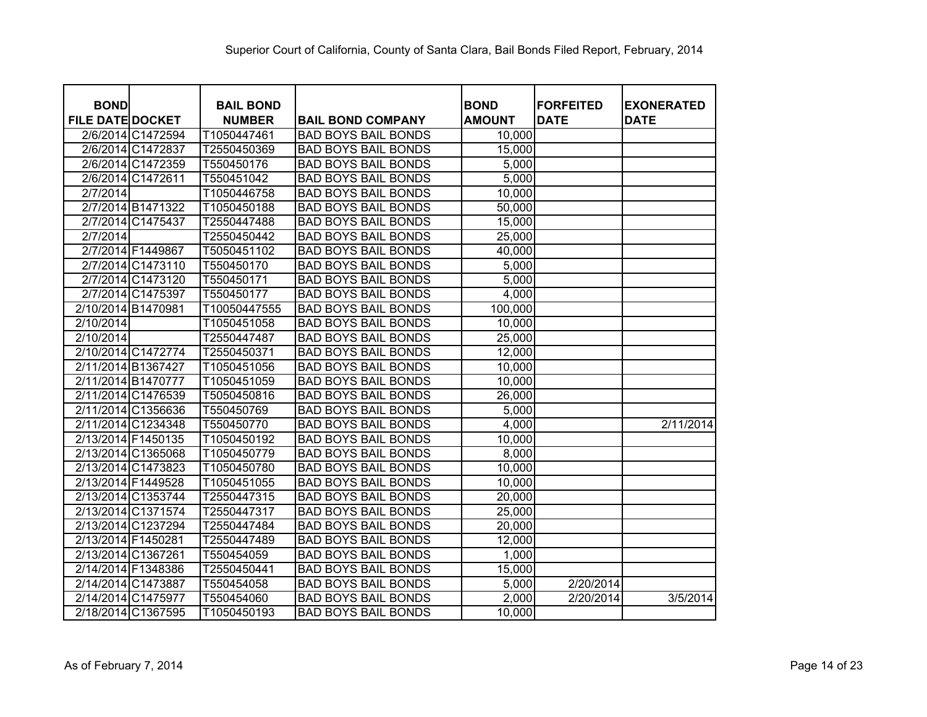| <b>BOND</b>             |                   | <b>BAIL BOND</b> |                            | <b>BOND</b>   | <b>FORFEITED</b> | <b>EXONERATED</b> |
|-------------------------|-------------------|------------------|----------------------------|---------------|------------------|-------------------|
| <b>FILE DATE DOCKET</b> |                   | <b>NUMBER</b>    | <b>BAIL BOND COMPANY</b>   | <b>AMOUNT</b> | <b>DATE</b>      | <b>DATE</b>       |
|                         | 2/6/2014 C1472594 | T1050447461      | <b>BAD BOYS BAIL BONDS</b> | 10,000        |                  |                   |
|                         | 2/6/2014 C1472837 | T2550450369      | <b>BAD BOYS BAIL BONDS</b> | 15,000        |                  |                   |
|                         | 2/6/2014 C1472359 | T550450176       | <b>BAD BOYS BAIL BONDS</b> | 5,000         |                  |                   |
|                         | 2/6/2014 C1472611 | T550451042       | <b>BAD BOYS BAIL BONDS</b> | 5,000         |                  |                   |
| 2/7/2014                |                   | T1050446758      | <b>BAD BOYS BAIL BONDS</b> | 10,000        |                  |                   |
|                         | 2/7/2014 B1471322 | T1050450188      | <b>BAD BOYS BAIL BONDS</b> | 50,000        |                  |                   |
|                         | 2/7/2014 C1475437 | T2550447488      | <b>BAD BOYS BAIL BONDS</b> | 15,000        |                  |                   |
| 2/7/2014                |                   | T2550450442      | <b>BAD BOYS BAIL BONDS</b> | 25,000        |                  |                   |
| 2/7/2014 F1449867       |                   | T5050451102      | <b>BAD BOYS BAIL BONDS</b> | 40,000        |                  |                   |
|                         | 2/7/2014 C1473110 | T550450170       | <b>BAD BOYS BAIL BONDS</b> | 5,000         |                  |                   |
|                         | 2/7/2014 C1473120 | T550450171       | <b>BAD BOYS BAIL BONDS</b> | 5,000         |                  |                   |
|                         | 2/7/2014 C1475397 | T550450177       | <b>BAD BOYS BAIL BONDS</b> | 4,000         |                  |                   |
| 2/10/2014 B1470981      |                   | T10050447555     | <b>BAD BOYS BAIL BONDS</b> | 100,000       |                  |                   |
| 2/10/2014               |                   | T1050451058      | <b>BAD BOYS BAIL BONDS</b> | 10,000        |                  |                   |
| 2/10/2014               |                   | T2550447487      | <b>BAD BOYS BAIL BONDS</b> | 25,000        |                  |                   |
| 2/10/2014 C1472774      |                   | T2550450371      | <b>BAD BOYS BAIL BONDS</b> | 12,000        |                  |                   |
| 2/11/2014 B1367427      |                   | T1050451056      | <b>BAD BOYS BAIL BONDS</b> | 10,000        |                  |                   |
| 2/11/2014 B1470777      |                   | T1050451059      | <b>BAD BOYS BAIL BONDS</b> | 10,000        |                  |                   |
| 2/11/2014 C1476539      |                   | T5050450816      | <b>BAD BOYS BAIL BONDS</b> | 26,000        |                  |                   |
| 2/11/2014 C1356636      |                   | T550450769       | <b>BAD BOYS BAIL BONDS</b> | 5,000         |                  |                   |
| 2/11/2014 C1234348      |                   | T550450770       | <b>BAD BOYS BAIL BONDS</b> | 4,000         |                  | 2/11/2014         |
| 2/13/2014 F1450135      |                   | T1050450192      | <b>BAD BOYS BAIL BONDS</b> | 10,000        |                  |                   |
| 2/13/2014 C1365068      |                   | T1050450779      | <b>BAD BOYS BAIL BONDS</b> | 8,000         |                  |                   |
| 2/13/2014 C1473823      |                   | T1050450780      | <b>BAD BOYS BAIL BONDS</b> | 10,000        |                  |                   |
| 2/13/2014 F1449528      |                   | T1050451055      | <b>BAD BOYS BAIL BONDS</b> | 10,000        |                  |                   |
| 2/13/2014 C1353744      |                   | T2550447315      | <b>BAD BOYS BAIL BONDS</b> | 20,000        |                  |                   |
| 2/13/2014 C1371574      |                   | T2550447317      | <b>BAD BOYS BAIL BONDS</b> | 25,000        |                  |                   |
| 2/13/2014 C1237294      |                   | T2550447484      | <b>BAD BOYS BAIL BONDS</b> | 20,000        |                  |                   |
| 2/13/2014 F1450281      |                   | T2550447489      | <b>BAD BOYS BAIL BONDS</b> | 12,000        |                  |                   |
| 2/13/2014 C1367261      |                   | T550454059       | <b>BAD BOYS BAIL BONDS</b> | 1,000         |                  |                   |
| 2/14/2014 F1348386      |                   | T2550450441      | <b>BAD BOYS BAIL BONDS</b> | 15,000        |                  |                   |
| 2/14/2014 C1473887      |                   | T550454058       | <b>BAD BOYS BAIL BONDS</b> | 5,000         | 2/20/2014        |                   |
| 2/14/2014 C1475977      |                   | T550454060       | <b>BAD BOYS BAIL BONDS</b> | 2,000         | 2/20/2014        | 3/5/2014          |
| 2/18/2014 C1367595      |                   | T1050450193      | <b>BAD BOYS BAIL BONDS</b> | 10,000        |                  |                   |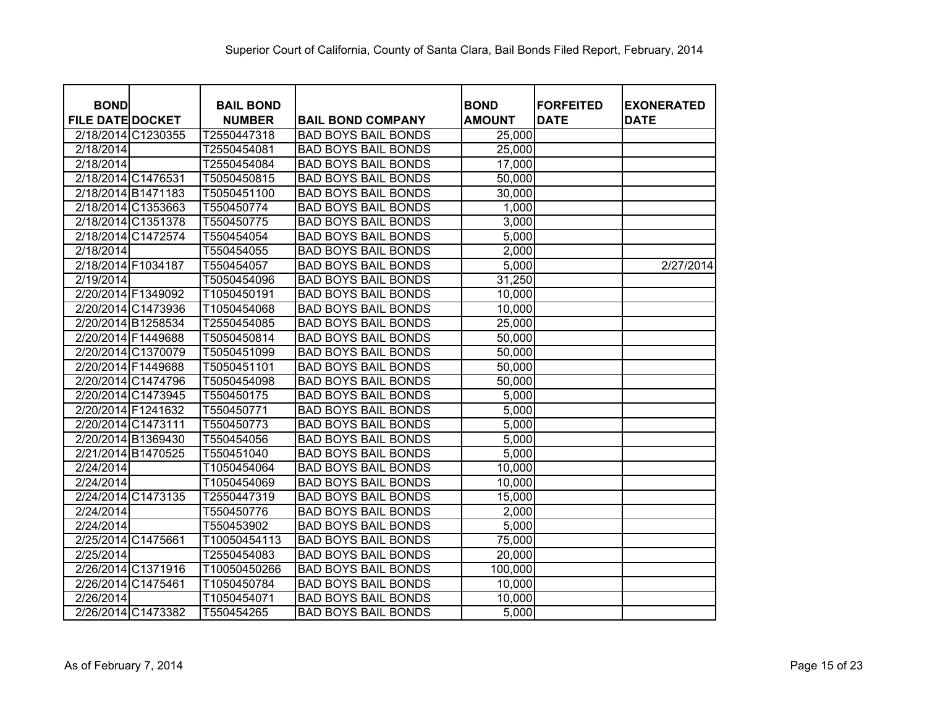| <b>BOND</b><br><b>FILE DATE DOCKET</b> | <b>BAIL BOND</b><br><b>NUMBER</b> | <b>BAIL BOND COMPANY</b>   | <b>BOND</b><br><b>AMOUNT</b> | <b>FORFEITED</b><br><b>DATE</b> | <b>EXONERATED</b><br><b>DATE</b> |
|----------------------------------------|-----------------------------------|----------------------------|------------------------------|---------------------------------|----------------------------------|
| 2/18/2014 C1230355                     | T2550447318                       | <b>BAD BOYS BAIL BONDS</b> | 25,000                       |                                 |                                  |
| 2/18/2014                              | T2550454081                       | <b>BAD BOYS BAIL BONDS</b> | 25,000                       |                                 |                                  |
| 2/18/2014                              | T2550454084                       | <b>BAD BOYS BAIL BONDS</b> | 17,000                       |                                 |                                  |
| 2/18/2014 C1476531                     | T5050450815                       | <b>BAD BOYS BAIL BONDS</b> | 50,000                       |                                 |                                  |
| 2/18/2014 B1471183                     | T5050451100                       | <b>BAD BOYS BAIL BONDS</b> | 30,000                       |                                 |                                  |
| 2/18/2014 C1353663                     | T550450774                        | <b>BAD BOYS BAIL BONDS</b> | 1,000                        |                                 |                                  |
| 2/18/2014 C1351378                     | T550450775                        | <b>BAD BOYS BAIL BONDS</b> | 3,000                        |                                 |                                  |
| 2/18/2014 C1472574                     | T550454054                        | <b>BAD BOYS BAIL BONDS</b> | 5,000                        |                                 |                                  |
| 2/18/2014                              | T550454055                        | <b>BAD BOYS BAIL BONDS</b> | 2,000                        |                                 |                                  |
| 2/18/2014 F1034187                     | T550454057                        | <b>BAD BOYS BAIL BONDS</b> | 5,000                        |                                 | 2/27/2014                        |
| 2/19/2014                              | T5050454096                       | <b>BAD BOYS BAIL BONDS</b> | 31,250                       |                                 |                                  |
| 2/20/2014 F1349092                     | T1050450191                       | <b>BAD BOYS BAIL BONDS</b> | 10,000                       |                                 |                                  |
| 2/20/2014 C1473936                     | T1050454068                       | <b>BAD BOYS BAIL BONDS</b> | 10,000                       |                                 |                                  |
| 2/20/2014 B1258534                     | T2550454085                       | <b>BAD BOYS BAIL BONDS</b> | 25,000                       |                                 |                                  |
| 2/20/2014 F1449688                     | T5050450814                       | <b>BAD BOYS BAIL BONDS</b> | 50,000                       |                                 |                                  |
| 2/20/2014 C1370079                     | T5050451099                       | <b>BAD BOYS BAIL BONDS</b> | 50,000                       |                                 |                                  |
| 2/20/2014 F1449688                     | T5050451101                       | <b>BAD BOYS BAIL BONDS</b> | 50,000                       |                                 |                                  |
| 2/20/2014 C1474796                     | T5050454098                       | <b>BAD BOYS BAIL BONDS</b> | 50,000                       |                                 |                                  |
| 2/20/2014 C1473945                     | T550450175                        | <b>BAD BOYS BAIL BONDS</b> | 5,000                        |                                 |                                  |
| 2/20/2014 F1241632                     | T550450771                        | <b>BAD BOYS BAIL BONDS</b> | 5,000                        |                                 |                                  |
| 2/20/2014 C1473111                     | T550450773                        | <b>BAD BOYS BAIL BONDS</b> | 5,000                        |                                 |                                  |
| 2/20/2014 B1369430                     | T550454056                        | <b>BAD BOYS BAIL BONDS</b> | 5,000                        |                                 |                                  |
| 2/21/2014 B1470525                     | T550451040                        | <b>BAD BOYS BAIL BONDS</b> | 5,000                        |                                 |                                  |
| 2/24/2014                              | T1050454064                       | <b>BAD BOYS BAIL BONDS</b> | 10,000                       |                                 |                                  |
| 2/24/2014                              | T1050454069                       | <b>BAD BOYS BAIL BONDS</b> | 10,000                       |                                 |                                  |
| 2/24/2014 C1473135                     | T2550447319                       | <b>BAD BOYS BAIL BONDS</b> | 15,000                       |                                 |                                  |
| 2/24/2014                              | T550450776                        | <b>BAD BOYS BAIL BONDS</b> | 2,000                        |                                 |                                  |
| 2/24/2014                              | T550453902                        | <b>BAD BOYS BAIL BONDS</b> | 5,000                        |                                 |                                  |
| 2/25/2014 C1475661                     | T10050454113                      | <b>BAD BOYS BAIL BONDS</b> | 75,000                       |                                 |                                  |
| 2/25/2014                              | T2550454083                       | <b>BAD BOYS BAIL BONDS</b> | 20,000                       |                                 |                                  |
| 2/26/2014 C1371916                     | T10050450266                      | <b>BAD BOYS BAIL BONDS</b> | 100,000                      |                                 |                                  |
| 2/26/2014 C1475461                     | T1050450784                       | <b>BAD BOYS BAIL BONDS</b> | 10,000                       |                                 |                                  |
| 2/26/2014                              | T1050454071                       | <b>BAD BOYS BAIL BONDS</b> | 10,000                       |                                 |                                  |
| 2/26/2014 C1473382                     | T550454265                        | <b>BAD BOYS BAIL BONDS</b> | 5,000                        |                                 |                                  |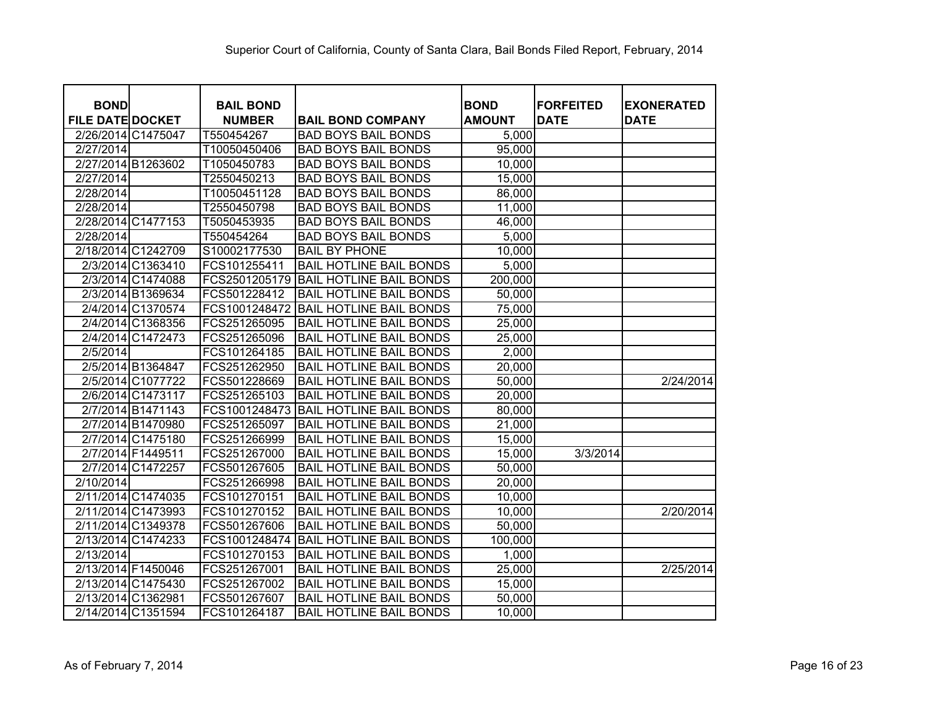| <b>BOND</b>             |                    | <b>BAIL BOND</b> |                                | <b>BOND</b>   | <b>FORFEITED</b> | <b>EXONERATED</b> |
|-------------------------|--------------------|------------------|--------------------------------|---------------|------------------|-------------------|
| <b>FILE DATE DOCKET</b> |                    | <b>NUMBER</b>    | <b>BAIL BOND COMPANY</b>       | <b>AMOUNT</b> | <b>DATE</b>      | <b>DATE</b>       |
| 2/26/2014 C1475047      |                    | T550454267       | <b>BAD BOYS BAIL BONDS</b>     | 5,000         |                  |                   |
| 2/27/2014               |                    | T10050450406     | <b>BAD BOYS BAIL BONDS</b>     | 95,000        |                  |                   |
| 2/27/2014 B1263602      |                    | T1050450783      | <b>BAD BOYS BAIL BONDS</b>     | 10,000        |                  |                   |
| 2/27/2014               |                    | T2550450213      | <b>BAD BOYS BAIL BONDS</b>     | 15,000        |                  |                   |
| 2/28/2014               |                    | T10050451128     | <b>BAD BOYS BAIL BONDS</b>     | 86,000        |                  |                   |
| 2/28/2014               |                    | T2550450798      | <b>BAD BOYS BAIL BONDS</b>     | 11,000        |                  |                   |
|                         | 2/28/2014 C1477153 | T5050453935      | <b>BAD BOYS BAIL BONDS</b>     | 46,000        |                  |                   |
| 2/28/2014               |                    | T550454264       | <b>BAD BOYS BAIL BONDS</b>     | 5,000         |                  |                   |
|                         | 2/18/2014 C1242709 | S10002177530     | <b>BAIL BY PHONE</b>           | 10,000        |                  |                   |
|                         | 2/3/2014 C1363410  | FCS101255411     | <b>BAIL HOTLINE BAIL BONDS</b> | 5,000         |                  |                   |
|                         | 2/3/2014 C1474088  | FCS2501205179    | <b>BAIL HOTLINE BAIL BONDS</b> | 200,000       |                  |                   |
|                         | 2/3/2014 B1369634  | FCS501228412     | <b>BAIL HOTLINE BAIL BONDS</b> | 50,000        |                  |                   |
|                         | 2/4/2014 C1370574  | FCS1001248472    | <b>BAIL HOTLINE BAIL BONDS</b> | 75,000        |                  |                   |
|                         | 2/4/2014 C1368356  | FCS251265095     | <b>BAIL HOTLINE BAIL BONDS</b> | 25,000        |                  |                   |
|                         | 2/4/2014 C1472473  | FCS251265096     | <b>BAIL HOTLINE BAIL BONDS</b> | 25,000        |                  |                   |
| 2/5/2014                |                    | FCS101264185     | <b>BAIL HOTLINE BAIL BONDS</b> | 2,000         |                  |                   |
|                         | 2/5/2014 B1364847  | FCS251262950     | <b>BAIL HOTLINE BAIL BONDS</b> | 20,000        |                  |                   |
|                         | 2/5/2014 C1077722  | FCS501228669     | <b>BAIL HOTLINE BAIL BONDS</b> | 50,000        |                  | 2/24/2014         |
|                         | 2/6/2014 C1473117  | FCS251265103     | <b>BAIL HOTLINE BAIL BONDS</b> | 20,000        |                  |                   |
|                         | 2/7/2014 B1471143  | FCS1001248473    | <b>BAIL HOTLINE BAIL BONDS</b> | 80,000        |                  |                   |
|                         | 2/7/2014 B1470980  | FCS251265097     | <b>BAIL HOTLINE BAIL BONDS</b> | 21,000        |                  |                   |
|                         | 2/7/2014 C1475180  | FCS251266999     | <b>BAIL HOTLINE BAIL BONDS</b> | 15,000        |                  |                   |
|                         | 2/7/2014 F1449511  | FCS251267000     | <b>BAIL HOTLINE BAIL BONDS</b> | 15,000        | 3/3/2014         |                   |
|                         | 2/7/2014 C1472257  | FCS501267605     | <b>BAIL HOTLINE BAIL BONDS</b> | 50,000        |                  |                   |
| 2/10/2014               |                    | FCS251266998     | <b>BAIL HOTLINE BAIL BONDS</b> | 20,000        |                  |                   |
|                         | 2/11/2014 C1474035 | FCS101270151     | <b>BAIL HOTLINE BAIL BONDS</b> | 10,000        |                  |                   |
|                         | 2/11/2014 C1473993 | FCS101270152     | <b>BAIL HOTLINE BAIL BONDS</b> | 10,000        |                  | 2/20/2014         |
|                         | 2/11/2014 C1349378 | FCS501267606     | <b>BAIL HOTLINE BAIL BONDS</b> | 50,000        |                  |                   |
|                         | 2/13/2014 C1474233 | FCS1001248474    | <b>BAIL HOTLINE BAIL BONDS</b> | 100,000       |                  |                   |
| 2/13/2014               |                    | FCS101270153     | <b>BAIL HOTLINE BAIL BONDS</b> | 1,000         |                  |                   |
| 2/13/2014 F1450046      |                    | FCS251267001     | <b>BAIL HOTLINE BAIL BONDS</b> | 25,000        |                  | 2/25/2014         |
|                         | 2/13/2014 C1475430 | FCS251267002     | <b>BAIL HOTLINE BAIL BONDS</b> | 15,000        |                  |                   |
| 2/13/2014 C1362981      |                    | FCS501267607     | <b>BAIL HOTLINE BAIL BONDS</b> | 50,000        |                  |                   |
|                         | 2/14/2014 C1351594 | FCS101264187     | <b>BAIL HOTLINE BAIL BONDS</b> | 10,000        |                  |                   |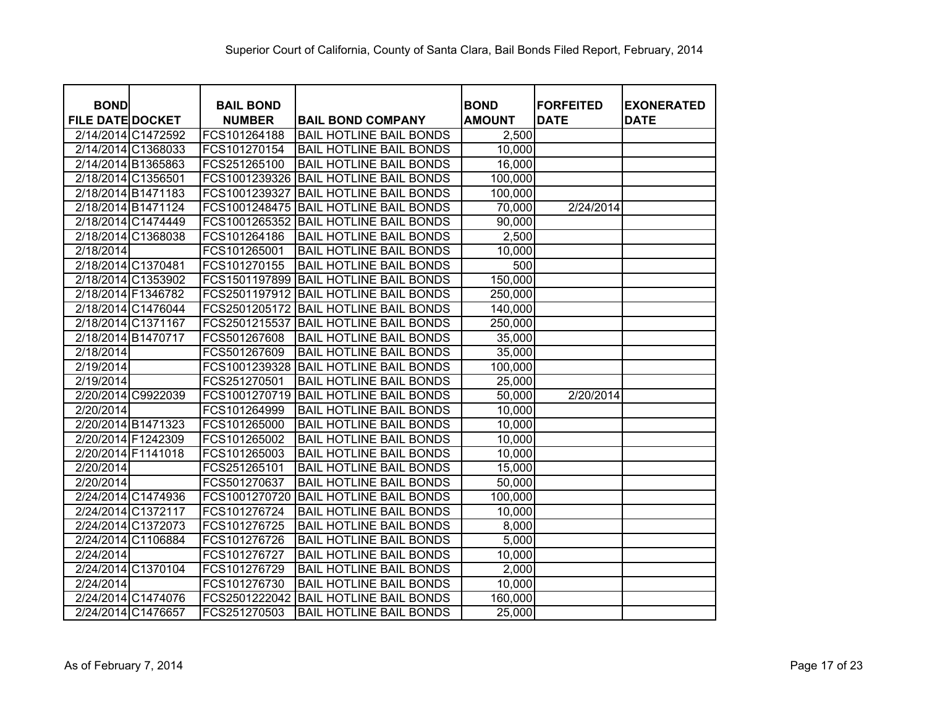| <b>BOND</b>             |                    | <b>BAIL BOND</b> |                                | <b>BOND</b>   | <b>FORFEITED</b> | <b>EXONERATED</b> |
|-------------------------|--------------------|------------------|--------------------------------|---------------|------------------|-------------------|
| <b>FILE DATE DOCKET</b> |                    | <b>NUMBER</b>    | <b>BAIL BOND COMPANY</b>       | <b>AMOUNT</b> | <b>DATE</b>      | <b>DATE</b>       |
| 2/14/2014 C1472592      |                    | FCS101264188     | <b>BAIL HOTLINE BAIL BONDS</b> | 2,500         |                  |                   |
|                         | 2/14/2014 C1368033 | FCS101270154     | <b>BAIL HOTLINE BAIL BONDS</b> | 10,000        |                  |                   |
| 2/14/2014 B1365863      |                    | FCS251265100     | <b>BAIL HOTLINE BAIL BONDS</b> | 16,000        |                  |                   |
| 2/18/2014 C1356501      |                    | FCS1001239326    | <b>BAIL HOTLINE BAIL BONDS</b> | 100,000       |                  |                   |
| 2/18/2014 B1471183      |                    | FCS1001239327    | <b>BAIL HOTLINE BAIL BONDS</b> | 100,000       |                  |                   |
|                         | 2/18/2014 B1471124 | FCS1001248475    | <b>BAIL HOTLINE BAIL BONDS</b> | 70,000        | 2/24/2014        |                   |
|                         | 2/18/2014 C1474449 | FCS1001265352    | <b>BAIL HOTLINE BAIL BONDS</b> | 90,000        |                  |                   |
|                         | 2/18/2014 C1368038 | FCS101264186     | <b>BAIL HOTLINE BAIL BONDS</b> | 2,500         |                  |                   |
| 2/18/2014               |                    | FCS101265001     | <b>BAIL HOTLINE BAIL BONDS</b> | 10,000        |                  |                   |
| 2/18/2014 C1370481      |                    | FCS101270155     | <b>BAIL HOTLINE BAIL BONDS</b> | 500           |                  |                   |
|                         | 2/18/2014 C1353902 | FCS1501197899    | <b>BAIL HOTLINE BAIL BONDS</b> | 150,000       |                  |                   |
| 2/18/2014 F1346782      |                    | FCS2501197912    | <b>BAIL HOTLINE BAIL BONDS</b> | 250,000       |                  |                   |
|                         | 2/18/2014 C1476044 | FCS2501205172    | <b>BAIL HOTLINE BAIL BONDS</b> | 140,000       |                  |                   |
| 2/18/2014 C1371167      |                    | FCS2501215537    | <b>BAIL HOTLINE BAIL BONDS</b> | 250,000       |                  |                   |
| 2/18/2014 B1470717      |                    | FCS501267608     | <b>BAIL HOTLINE BAIL BONDS</b> | 35,000        |                  |                   |
| 2/18/2014               |                    | FCS501267609     | <b>BAIL HOTLINE BAIL BONDS</b> | 35,000        |                  |                   |
| 2/19/2014               |                    | FCS1001239328    | <b>BAIL HOTLINE BAIL BONDS</b> | 100,000       |                  |                   |
| 2/19/2014               |                    | FCS251270501     | <b>BAIL HOTLINE BAIL BONDS</b> | 25,000        |                  |                   |
|                         | 2/20/2014 C9922039 | FCS1001270719    | <b>BAIL HOTLINE BAIL BONDS</b> | 50,000        | 2/20/2014        |                   |
| 2/20/2014               |                    | FCS101264999     | <b>BAIL HOTLINE BAIL BONDS</b> | 10,000        |                  |                   |
| 2/20/2014 B1471323      |                    | FCS101265000     | <b>BAIL HOTLINE BAIL BONDS</b> | 10,000        |                  |                   |
| 2/20/2014 F1242309      |                    | FCS101265002     | <b>BAIL HOTLINE BAIL BONDS</b> | 10,000        |                  |                   |
| 2/20/2014 F1141018      |                    | FCS101265003     | <b>BAIL HOTLINE BAIL BONDS</b> | 10,000        |                  |                   |
| 2/20/2014               |                    | FCS251265101     | <b>BAIL HOTLINE BAIL BONDS</b> | 15,000        |                  |                   |
| 2/20/2014               |                    | FCS501270637     | <b>BAIL HOTLINE BAIL BONDS</b> | 50,000        |                  |                   |
|                         | 2/24/2014 C1474936 | FCS1001270720    | <b>BAIL HOTLINE BAIL BONDS</b> | 100,000       |                  |                   |
| 2/24/2014 C1372117      |                    | FCS101276724     | <b>BAIL HOTLINE BAIL BONDS</b> | 10,000        |                  |                   |
|                         | 2/24/2014 C1372073 | FCS101276725     | <b>BAIL HOTLINE BAIL BONDS</b> | 8,000         |                  |                   |
|                         | 2/24/2014 C1106884 | FCS101276726     | <b>BAIL HOTLINE BAIL BONDS</b> | 5,000         |                  |                   |
| 2/24/2014               |                    | FCS101276727     | <b>BAIL HOTLINE BAIL BONDS</b> | 10,000        |                  |                   |
|                         | 2/24/2014 C1370104 | FCS101276729     | <b>BAIL HOTLINE BAIL BONDS</b> | 2,000         |                  |                   |
| 2/24/2014               |                    | FCS101276730     | <b>BAIL HOTLINE BAIL BONDS</b> | 10,000        |                  |                   |
|                         | 2/24/2014 C1474076 | FCS2501222042    | <b>BAIL HOTLINE BAIL BONDS</b> | 160,000       |                  |                   |
| 2/24/2014 C1476657      |                    | FCS251270503     | <b>BAIL HOTLINE BAIL BONDS</b> | 25,000        |                  |                   |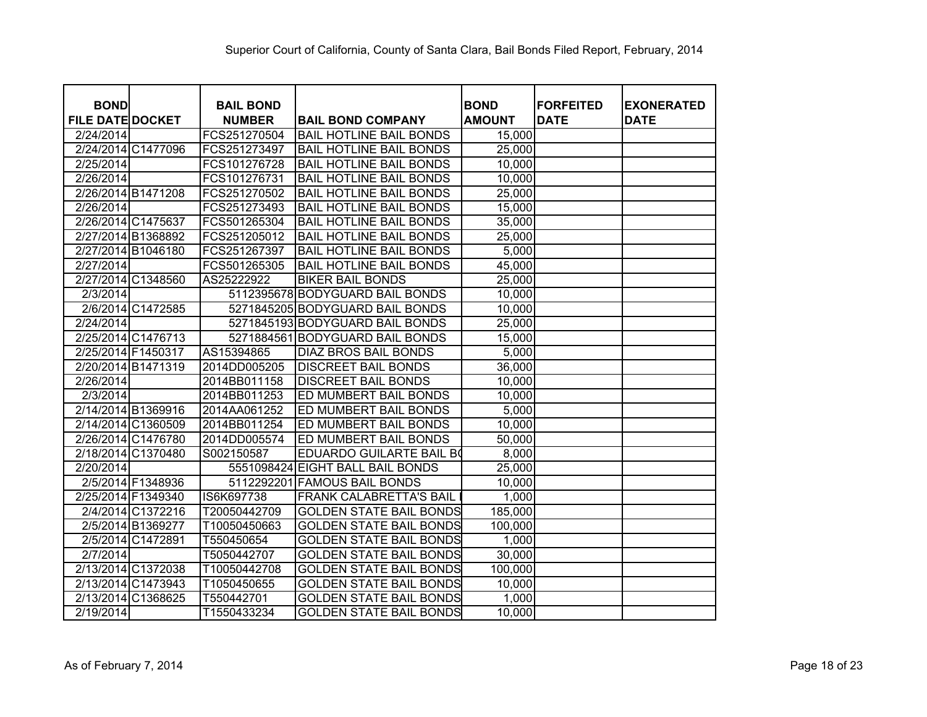| <b>BOND</b>             |                   | <b>BAIL BOND</b> |                                  | <b>BOND</b>   | <b>FORFEITED</b> | <b>EXONERATED</b> |
|-------------------------|-------------------|------------------|----------------------------------|---------------|------------------|-------------------|
| <b>FILE DATE DOCKET</b> |                   | <b>NUMBER</b>    | <b>BAIL BOND COMPANY</b>         | <b>AMOUNT</b> | <b>DATE</b>      | <b>DATE</b>       |
| 2/24/2014               |                   | FCS251270504     | <b>BAIL HOTLINE BAIL BONDS</b>   | 15,000        |                  |                   |
| 2/24/2014 C1477096      |                   | FCS251273497     | <b>BAIL HOTLINE BAIL BONDS</b>   | 25,000        |                  |                   |
| 2/25/2014               |                   | FCS101276728     | <b>BAIL HOTLINE BAIL BONDS</b>   | 10,000        |                  |                   |
| 2/26/2014               |                   | FCS101276731     | <b>BAIL HOTLINE BAIL BONDS</b>   | 10,000        |                  |                   |
| 2/26/2014 B1471208      |                   | FCS251270502     | <b>BAIL HOTLINE BAIL BONDS</b>   | 25,000        |                  |                   |
| 2/26/2014               |                   | FCS251273493     | <b>BAIL HOTLINE BAIL BONDS</b>   | 15,000        |                  |                   |
| 2/26/2014 C1475637      |                   | FCS501265304     | <b>BAIL HOTLINE BAIL BONDS</b>   | 35,000        |                  |                   |
| 2/27/2014 B1368892      |                   | FCS251205012     | <b>BAIL HOTLINE BAIL BONDS</b>   | 25,000        |                  |                   |
| 2/27/2014 B1046180      |                   | FCS251267397     | <b>BAIL HOTLINE BAIL BONDS</b>   | 5,000         |                  |                   |
| 2/27/2014               |                   | FCS501265305     | <b>BAIL HOTLINE BAIL BONDS</b>   | 45,000        |                  |                   |
| 2/27/2014 C1348560      |                   | AS25222922       | <b>BIKER BAIL BONDS</b>          | 25,000        |                  |                   |
| 2/3/2014                |                   |                  | 5112395678 BODYGUARD BAIL BONDS  | 10,000        |                  |                   |
|                         | 2/6/2014 C1472585 |                  | 5271845205 BODYGUARD BAIL BONDS  | 10,000        |                  |                   |
| 2/24/2014               |                   |                  | 5271845193 BODYGUARD BAIL BONDS  | 25,000        |                  |                   |
| 2/25/2014 C1476713      |                   |                  | 5271884561 BODYGUARD BAIL BONDS  | 15,000        |                  |                   |
| 2/25/2014 F1450317      |                   | AS15394865       | <b>DIAZ BROS BAIL BONDS</b>      | 5,000         |                  |                   |
| 2/20/2014 B1471319      |                   | 2014DD005205     | <b>DISCREET BAIL BONDS</b>       | 36,000        |                  |                   |
| 2/26/2014               |                   | 2014BB011158     | <b>DISCREET BAIL BONDS</b>       | 10,000        |                  |                   |
| 2/3/2014                |                   | 2014BB011253     | ED MUMBERT BAIL BONDS            | 10,000        |                  |                   |
| 2/14/2014 B1369916      |                   | 2014AA061252     | ED MUMBERT BAIL BONDS            | 5,000         |                  |                   |
| 2/14/2014 C1360509      |                   | 2014BB011254     | ED MUMBERT BAIL BONDS            | 10,000        |                  |                   |
| 2/26/2014 C1476780      |                   | 2014DD005574     | ED MUMBERT BAIL BONDS            | 50,000        |                  |                   |
| 2/18/2014 C1370480      |                   | S002150587       | <b>EDUARDO GUILARTE BAIL BO</b>  | 8,000         |                  |                   |
| 2/20/2014               |                   |                  | 5551098424 EIGHT BALL BAIL BONDS | 25,000        |                  |                   |
|                         | 2/5/2014 F1348936 |                  | 5112292201 FAMOUS BAIL BONDS     | 10,000        |                  |                   |
| 2/25/2014 F1349340      |                   | IS6K697738       | <b>FRANK CALABRETTA'S BAIL</b>   | 1,000         |                  |                   |
|                         | 2/4/2014 C1372216 | T20050442709     | <b>GOLDEN STATE BAIL BONDS</b>   | 185,000       |                  |                   |
|                         | 2/5/2014 B1369277 | T10050450663     | <b>GOLDEN STATE BAIL BONDS</b>   | 100,000       |                  |                   |
|                         | 2/5/2014 C1472891 | T550450654       | <b>GOLDEN STATE BAIL BONDS</b>   | 1,000         |                  |                   |
| 2/7/2014                |                   | T5050442707      | <b>GOLDEN STATE BAIL BONDS</b>   | 30,000        |                  |                   |
| 2/13/2014 C1372038      |                   | T10050442708     | <b>GOLDEN STATE BAIL BONDS</b>   | 100,000       |                  |                   |
| 2/13/2014 C1473943      |                   | T1050450655      | <b>GOLDEN STATE BAIL BONDS</b>   | 10,000        |                  |                   |
| 2/13/2014 C1368625      |                   | T550442701       | <b>GOLDEN STATE BAIL BONDS</b>   | 1,000         |                  |                   |
| 2/19/2014               |                   | T1550433234      | <b>GOLDEN STATE BAIL BONDS</b>   | 10,000        |                  |                   |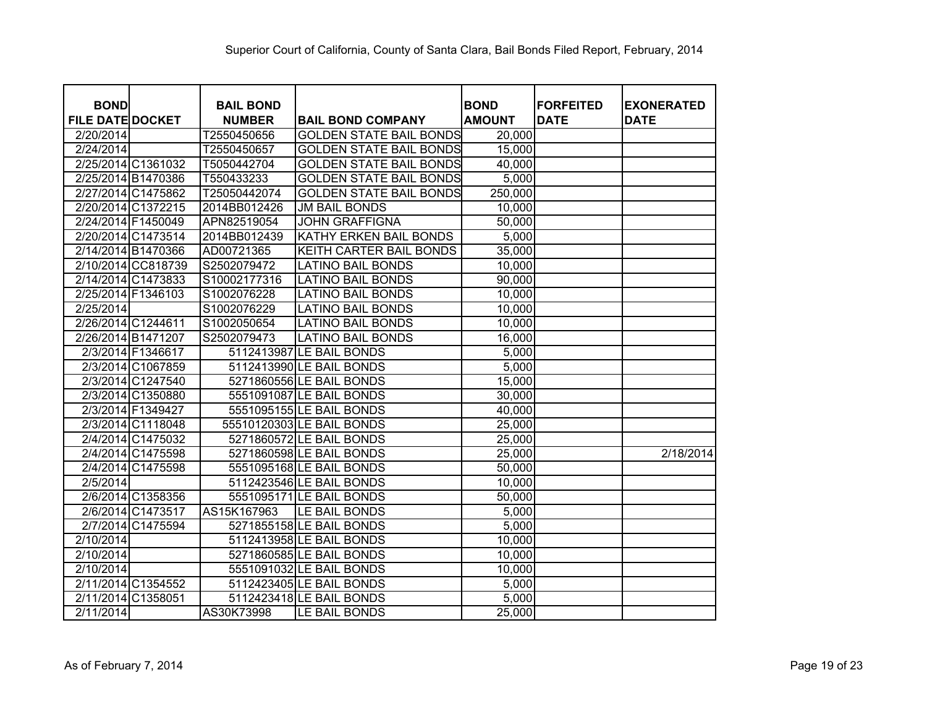| <b>BOND</b>             |                    | <b>BAIL BOND</b> |                                | <b>BOND</b>   | <b>IFORFEITED</b> | <b>EXONERATED</b> |
|-------------------------|--------------------|------------------|--------------------------------|---------------|-------------------|-------------------|
| <b>FILE DATE DOCKET</b> |                    | <b>NUMBER</b>    | <b>BAIL BOND COMPANY</b>       | <b>AMOUNT</b> | <b>DATE</b>       | <b>DATE</b>       |
| 2/20/2014               |                    | T2550450656      | <b>GOLDEN STATE BAIL BONDS</b> | 20,000        |                   |                   |
| 2/24/2014               |                    | T2550450657      | <b>GOLDEN STATE BAIL BONDS</b> | 15,000        |                   |                   |
|                         | 2/25/2014 C1361032 | T5050442704      | <b>GOLDEN STATE BAIL BONDS</b> | 40,000        |                   |                   |
|                         | 2/25/2014 B1470386 | T550433233       | <b>GOLDEN STATE BAIL BONDS</b> | 5,000         |                   |                   |
|                         | 2/27/2014 C1475862 | T25050442074     | <b>GOLDEN STATE BAIL BONDS</b> | 250,000       |                   |                   |
|                         | 2/20/2014 C1372215 | 2014BB012426     | <b>JM BAIL BONDS</b>           | 10,000        |                   |                   |
| 2/24/2014 F1450049      |                    | APN82519054      | <b>JOHN GRAFFIGNA</b>          | 50,000        |                   |                   |
|                         | 2/20/2014 C1473514 | 2014BB012439     | KATHY ERKEN BAIL BONDS         | 5,000         |                   |                   |
| 2/14/2014 B1470366      |                    | AD00721365       | KEITH CARTER BAIL BONDS        | 35,000        |                   |                   |
|                         | 2/10/2014 CC818739 | S2502079472      | <b>LATINO BAIL BONDS</b>       | 10,000        |                   |                   |
|                         | 2/14/2014 C1473833 | S10002177316     | <b>LATINO BAIL BONDS</b>       | 90,000        |                   |                   |
| 2/25/2014 F1346103      |                    | S1002076228      | <b>LATINO BAIL BONDS</b>       | 10,000        |                   |                   |
| 2/25/2014               |                    | S1002076229      | <b>LATINO BAIL BONDS</b>       | 10,000        |                   |                   |
| 2/26/2014 C1244611      |                    | S1002050654      | <b>LATINO BAIL BONDS</b>       | 10,000        |                   |                   |
| 2/26/2014 B1471207      |                    | S2502079473      | <b>LATINO BAIL BONDS</b>       | 16,000        |                   |                   |
|                         | 2/3/2014 F1346617  |                  | 5112413987 LE BAIL BONDS       | 5,000         |                   |                   |
|                         | 2/3/2014 C1067859  |                  | 5112413990 LE BAIL BONDS       | 5,000         |                   |                   |
|                         | 2/3/2014 C1247540  |                  | 5271860556 LE BAIL BONDS       | 15,000        |                   |                   |
|                         | 2/3/2014 C1350880  |                  | 5551091087 LE BAIL BONDS       | 30,000        |                   |                   |
|                         | 2/3/2014 F1349427  |                  | 5551095155 LE BAIL BONDS       | 40,000        |                   |                   |
|                         | 2/3/2014 C1118048  |                  | 55510120303 LE BAIL BONDS      | 25,000        |                   |                   |
|                         | 2/4/2014 C1475032  |                  | 5271860572 LE BAIL BONDS       | 25,000        |                   |                   |
|                         | 2/4/2014 C1475598  |                  | 5271860598 LE BAIL BONDS       | 25,000        |                   | 2/18/2014         |
|                         | 2/4/2014 C1475598  |                  | 5551095168 LE BAIL BONDS       | 50,000        |                   |                   |
| 2/5/2014                |                    |                  | 5112423546 LE BAIL BONDS       | 10,000        |                   |                   |
|                         | 2/6/2014 C1358356  |                  | 5551095171 LE BAIL BONDS       | 50,000        |                   |                   |
|                         | 2/6/2014 C1473517  | AS15K167963      | LE BAIL BONDS                  | 5,000         |                   |                   |
|                         | 2/7/2014 C1475594  |                  | 5271855158 LE BAIL BONDS       | 5,000         |                   |                   |
| 2/10/2014               |                    |                  | 5112413958 LE BAIL BONDS       | 10,000        |                   |                   |
| 2/10/2014               |                    |                  | 5271860585 LE BAIL BONDS       | 10,000        |                   |                   |
| 2/10/2014               |                    |                  | 5551091032 LE BAIL BONDS       | 10,000        |                   |                   |
|                         | 2/11/2014 C1354552 |                  | 5112423405 LE BAIL BONDS       | 5,000         |                   |                   |
| 2/11/2014 C1358051      |                    |                  | 5112423418 LE BAIL BONDS       | 5,000         |                   |                   |
| 2/11/2014               |                    | AS30K73998       | LE BAIL BONDS                  | 25,000        |                   |                   |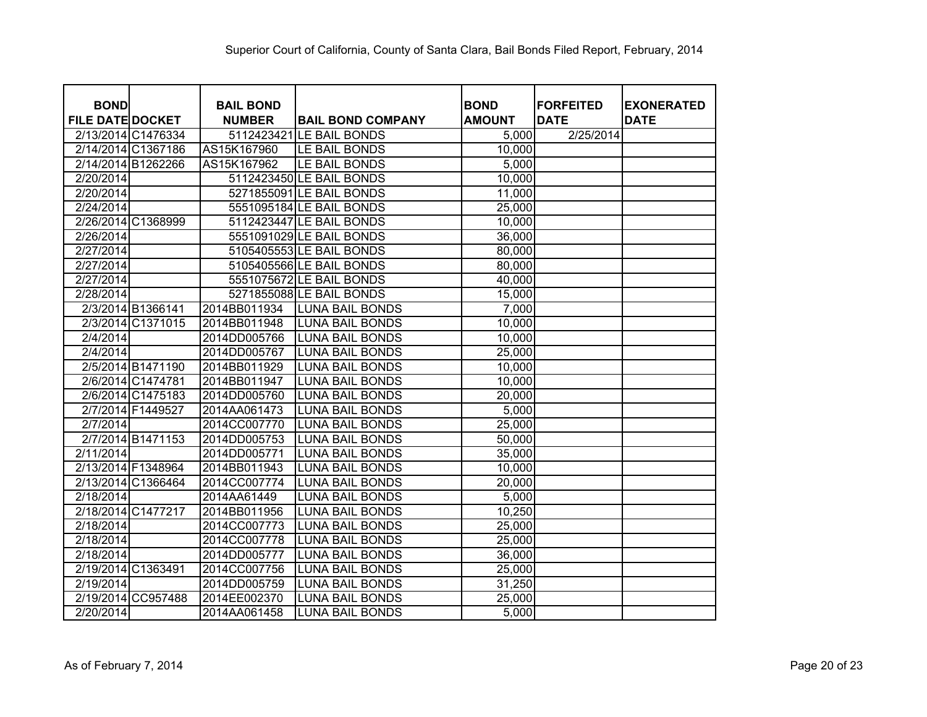| <b>BOND</b>             | <b>BAIL BOND</b> |                          | <b>BOND</b>   | <b>FORFEITED</b> | <b>EXONERATED</b> |
|-------------------------|------------------|--------------------------|---------------|------------------|-------------------|
| <b>FILE DATE DOCKET</b> | <b>NUMBER</b>    | <b>BAIL BOND COMPANY</b> | <b>AMOUNT</b> | <b>DATE</b>      | <b>DATE</b>       |
| 2/13/2014 C1476334      |                  | 5112423421 LE BAIL BONDS | 5,000         | 2/25/2014        |                   |
| 2/14/2014 C1367186      | AS15K167960      | LE BAIL BONDS            | 10,000        |                  |                   |
| 2/14/2014 B1262266      | AS15K167962      | LE BAIL BONDS            | 5,000         |                  |                   |
| 2/20/2014               |                  | 5112423450 LE BAIL BONDS | 10,000        |                  |                   |
| 2/20/2014               |                  | 5271855091 LE BAIL BONDS | 11,000        |                  |                   |
| 2/24/2014               |                  | 5551095184 LE BAIL BONDS | 25,000        |                  |                   |
| 2/26/2014 C1368999      |                  | 5112423447 LE BAIL BONDS | 10,000        |                  |                   |
| 2/26/2014               |                  | 5551091029 LE BAIL BONDS | 36,000        |                  |                   |
| 2/27/2014               |                  | 5105405553 LE BAIL BONDS | 80,000        |                  |                   |
| 2/27/2014               |                  | 5105405566 LE BAIL BONDS | 80,000        |                  |                   |
| 2/27/2014               |                  | 5551075672 LE BAIL BONDS | 40,000        |                  |                   |
| 2/28/2014               |                  | 5271855088 LE BAIL BONDS | 15,000        |                  |                   |
| 2/3/2014 B1366141       | 2014BB011934     | <b>LUNA BAIL BONDS</b>   | 7,000         |                  |                   |
| 2/3/2014 C1371015       | 2014BB011948     | <b>LUNA BAIL BONDS</b>   | 10,000        |                  |                   |
| 2/4/2014                | 2014DD005766     | <b>LUNA BAIL BONDS</b>   | 10,000        |                  |                   |
| 2/4/2014                | 2014DD005767     | <b>LUNA BAIL BONDS</b>   | 25,000        |                  |                   |
| 2/5/2014 B1471190       | 2014BB011929     | <b>LUNA BAIL BONDS</b>   | 10,000        |                  |                   |
| 2/6/2014 C1474781       | 2014BB011947     | <b>LUNA BAIL BONDS</b>   | 10,000        |                  |                   |
| 2/6/2014 C1475183       | 2014DD005760     | <b>LUNA BAIL BONDS</b>   | 20,000        |                  |                   |
| 2/7/2014 F1449527       | 2014AA061473     | <b>LUNA BAIL BONDS</b>   | 5,000         |                  |                   |
| 2/7/2014                | 2014CC007770     | <b>LUNA BAIL BONDS</b>   | 25,000        |                  |                   |
| 2/7/2014 B1471153       | 2014DD005753     | <b>LUNA BAIL BONDS</b>   | 50,000        |                  |                   |
| 2/11/2014               | 2014DD005771     | <b>LUNA BAIL BONDS</b>   | 35,000        |                  |                   |
| 2/13/2014 F1348964      | 2014BB011943     | <b>LUNA BAIL BONDS</b>   | 10,000        |                  |                   |
| 2/13/2014 C1366464      | 2014CC007774     | <b>LUNA BAIL BONDS</b>   | 20,000        |                  |                   |
| 2/18/2014               | 2014AA61449      | <b>LUNA BAIL BONDS</b>   | 5,000         |                  |                   |
| 2/18/2014 C1477217      | 2014BB011956     | <b>LUNA BAIL BONDS</b>   | 10,250        |                  |                   |
| 2/18/2014               | 2014CC007773     | <b>LUNA BAIL BONDS</b>   | 25,000        |                  |                   |
| 2/18/2014               | 2014CC007778     | <b>LUNA BAIL BONDS</b>   | 25,000        |                  |                   |
| 2/18/2014               | 2014DD005777     | <b>LUNA BAIL BONDS</b>   | 36,000        |                  |                   |
| 2/19/2014 C1363491      | 2014CC007756     | <b>LUNA BAIL BONDS</b>   | 25,000        |                  |                   |
| 2/19/2014               | 2014DD005759     | <b>LUNA BAIL BONDS</b>   | 31,250        |                  |                   |
| 2/19/2014 CC957488      | 2014EE002370     | <b>LUNA BAIL BONDS</b>   | 25,000        |                  |                   |
| 2/20/2014               | 2014AA061458     | <b>LUNA BAIL BONDS</b>   | 5,000         |                  |                   |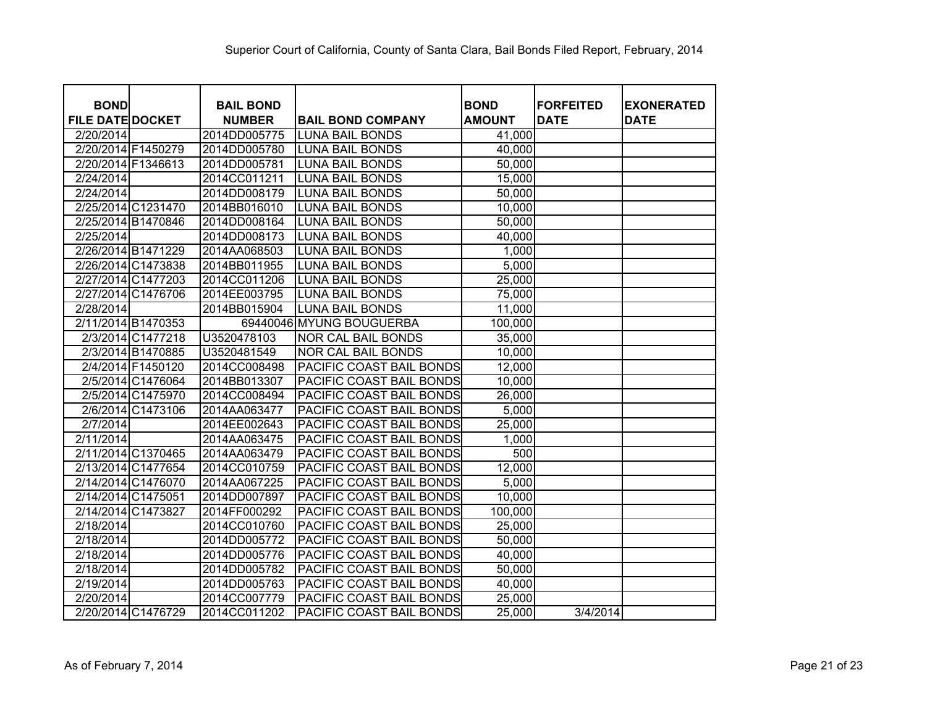| <b>BOND</b>             |                   | <b>BAIL BOND</b> |                                 | <b>BOND</b>   | <b>FORFEITED</b> | <b>EXONERATED</b> |
|-------------------------|-------------------|------------------|---------------------------------|---------------|------------------|-------------------|
| <b>FILE DATE DOCKET</b> |                   | <b>NUMBER</b>    | <b>BAIL BOND COMPANY</b>        | <b>AMOUNT</b> | <b>DATE</b>      | <b>DATE</b>       |
| 2/20/2014               |                   | 2014DD005775     | <b>LUNA BAIL BONDS</b>          | 41,000        |                  |                   |
| 2/20/2014 F1450279      |                   | 2014DD005780     | <b>LUNA BAIL BONDS</b>          | 40,000        |                  |                   |
| 2/20/2014 F1346613      |                   | 2014DD005781     | <b>LUNA BAIL BONDS</b>          | 50,000        |                  |                   |
| 2/24/2014               |                   | 2014CC011211     | <b>LUNA BAIL BONDS</b>          | 15,000        |                  |                   |
| 2/24/2014               |                   | 2014DD008179     | <b>LUNA BAIL BONDS</b>          | 50,000        |                  |                   |
| 2/25/2014 C1231470      |                   | 2014BB016010     | <b>LUNA BAIL BONDS</b>          | 10,000        |                  |                   |
| 2/25/2014 B1470846      |                   | 2014DD008164     | <b>LUNA BAIL BONDS</b>          | 50,000        |                  |                   |
| 2/25/2014               |                   | 2014DD008173     | <b>LUNA BAIL BONDS</b>          | 40,000        |                  |                   |
| 2/26/2014 B1471229      |                   | 2014AA068503     | <b>LUNA BAIL BONDS</b>          | 1,000         |                  |                   |
| 2/26/2014 C1473838      |                   | 2014BB011955     | <b>LUNA BAIL BONDS</b>          | 5,000         |                  |                   |
| 2/27/2014 C1477203      |                   | 2014CC011206     | <b>LUNA BAIL BONDS</b>          | 25,000        |                  |                   |
| 2/27/2014 C1476706      |                   | 2014EE003795     | <b>LUNA BAIL BONDS</b>          | 75,000        |                  |                   |
| 2/28/2014               |                   | 2014BB015904     | <b>LUNA BAIL BONDS</b>          | 11,000        |                  |                   |
| 2/11/2014 B1470353      |                   |                  | 69440046 MYUNG BOUGUERBA        | 100,000       |                  |                   |
|                         | 2/3/2014 C1477218 | U3520478103      | <b>NOR CAL BAIL BONDS</b>       | 35,000        |                  |                   |
|                         | 2/3/2014 B1470885 | U3520481549      | <b>NOR CAL BAIL BONDS</b>       | 10,000        |                  |                   |
| 2/4/2014 F1450120       |                   | 2014CC008498     | PACIFIC COAST BAIL BONDS        | 12,000        |                  |                   |
|                         | 2/5/2014 C1476064 | 2014BB013307     | PACIFIC COAST BAIL BONDS        | 10,000        |                  |                   |
|                         | 2/5/2014 C1475970 | 2014CC008494     | PACIFIC COAST BAIL BONDS        | 26,000        |                  |                   |
|                         | 2/6/2014 C1473106 | 2014AA063477     | PACIFIC COAST BAIL BONDS        | 5,000         |                  |                   |
| 2/7/2014                |                   | 2014EE002643     | PACIFIC COAST BAIL BONDS        | 25,000        |                  |                   |
| 2/11/2014               |                   | 2014AA063475     | PACIFIC COAST BAIL BONDS        | 1,000         |                  |                   |
| 2/11/2014 C1370465      |                   | 2014AA063479     | PACIFIC COAST BAIL BONDS        | 500           |                  |                   |
| 2/13/2014 C1477654      |                   | 2014CC010759     | PACIFIC COAST BAIL BONDS        | 12,000        |                  |                   |
| 2/14/2014 C1476070      |                   | 2014AA067225     | PACIFIC COAST BAIL BONDS        | 5,000         |                  |                   |
| 2/14/2014 C1475051      |                   | 2014DD007897     | PACIFIC COAST BAIL BONDS        | 10,000        |                  |                   |
| 2/14/2014 C1473827      |                   | 2014FF000292     | PACIFIC COAST BAIL BONDS        | 100,000       |                  |                   |
| 2/18/2014               |                   | 2014CC010760     | PACIFIC COAST BAIL BONDS        | 25,000        |                  |                   |
| 2/18/2014               |                   | 2014DD005772     | PACIFIC COAST BAIL BONDS        | 50,000        |                  |                   |
| 2/18/2014               |                   | 2014DD005776     | PACIFIC COAST BAIL BONDS        | 40,000        |                  |                   |
| 2/18/2014               |                   | 2014DD005782     | PACIFIC COAST BAIL BONDS        | 50,000        |                  |                   |
| 2/19/2014               |                   | 2014DD005763     | PACIFIC COAST BAIL BONDS        | 40,000        |                  |                   |
| 2/20/2014               |                   | 2014CC007779     | <b>PACIFIC COAST BAIL BONDS</b> | 25,000        |                  |                   |
| 2/20/2014 C1476729      |                   | 2014CC011202     | PACIFIC COAST BAIL BONDS        | 25,000        | 3/4/2014         |                   |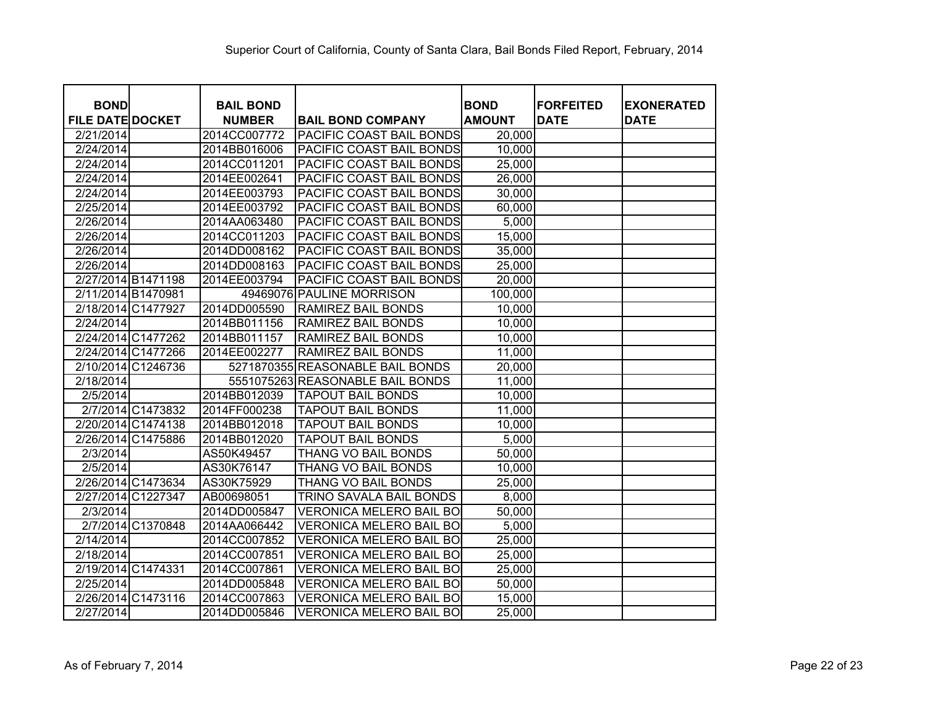| <b>BOND</b>             | <b>BAIL BOND</b> |                                  | <b>BOND</b>   | <b>FORFEITED</b> | <b>EXONERATED</b> |
|-------------------------|------------------|----------------------------------|---------------|------------------|-------------------|
| <b>FILE DATE DOCKET</b> | <b>NUMBER</b>    | <b>BAIL BOND COMPANY</b>         | <b>AMOUNT</b> | <b>DATE</b>      | <b>DATE</b>       |
| 2/21/2014               | 2014CC007772     | PACIFIC COAST BAIL BONDS         | 20,000        |                  |                   |
| 2/24/2014               | 2014BB016006     | PACIFIC COAST BAIL BONDS         | 10,000        |                  |                   |
| 2/24/2014               | 2014CC011201     | PACIFIC COAST BAIL BONDS         | 25,000        |                  |                   |
| 2/24/2014               | 2014EE002641     | PACIFIC COAST BAIL BONDS         | 26,000        |                  |                   |
| 2/24/2014               | 2014EE003793     | PACIFIC COAST BAIL BONDS         | 30,000        |                  |                   |
| 2/25/2014               | 2014EE003792     | PACIFIC COAST BAIL BONDS         | 60,000        |                  |                   |
| 2/26/2014               | 2014AA063480     | PACIFIC COAST BAIL BONDS         | 5,000         |                  |                   |
| 2/26/2014               | 2014CC011203     | PACIFIC COAST BAIL BONDS         | 15,000        |                  |                   |
| 2/26/2014               | 2014DD008162     | PACIFIC COAST BAIL BONDS         | 35,000        |                  |                   |
| 2/26/2014               | 2014DD008163     | <b>PACIFIC COAST BAIL BONDS</b>  | 25,000        |                  |                   |
| 2/27/2014 B1471198      | 2014EE003794     | <b>PACIFIC COAST BAIL BONDS</b>  | 20,000        |                  |                   |
| 2/11/2014 B1470981      |                  | 49469076 PAULINE MORRISON        | 100,000       |                  |                   |
| 2/18/2014 C1477927      | 2014DD005590     | <b>RAMIREZ BAIL BONDS</b>        | 10,000        |                  |                   |
| 2/24/2014               | 2014BB011156     | <b>RAMIREZ BAIL BONDS</b>        | 10,000        |                  |                   |
| 2/24/2014 C1477262      | 2014BB011157     | <b>RAMIREZ BAIL BONDS</b>        | 10,000        |                  |                   |
| 2/24/2014 C1477266      | 2014EE002277     | <b>RAMIREZ BAIL BONDS</b>        | 11,000        |                  |                   |
| 2/10/2014 C1246736      |                  | 5271870355 REASONABLE BAIL BONDS | 20,000        |                  |                   |
| 2/18/2014               |                  | 5551075263 REASONABLE BAIL BONDS | 11,000        |                  |                   |
| 2/5/2014                | 2014BB012039     | <b>TAPOUT BAIL BONDS</b>         | 10,000        |                  |                   |
| 2/7/2014 C1473832       | 2014FF000238     | <b>TAPOUT BAIL BONDS</b>         | 11,000        |                  |                   |
| 2/20/2014 C1474138      | 2014BB012018     | <b>TAPOUT BAIL BONDS</b>         | 10,000        |                  |                   |
| 2/26/2014 C1475886      | 2014BB012020     | <b>TAPOUT BAIL BONDS</b>         | 5,000         |                  |                   |
| 2/3/2014                | AS50K49457       | THANG VO BAIL BONDS              | 50,000        |                  |                   |
| 2/5/2014                | AS30K76147       | THANG VO BAIL BONDS              | 10,000        |                  |                   |
| 2/26/2014 C1473634      | AS30K75929       | THANG VO BAIL BONDS              | 25,000        |                  |                   |
| 2/27/2014 C1227347      | AB00698051       | TRINO SAVALA BAIL BONDS          | 8,000         |                  |                   |
| 2/3/2014                | 2014DD005847     | <b>VERONICA MELERO BAIL BO</b>   | 50,000        |                  |                   |
| 2/7/2014 C1370848       | 2014AA066442     | <b>VERONICA MELERO BAIL BO</b>   | 5,000         |                  |                   |
| 2/14/2014               | 2014CC007852     | <b>VERONICA MELERO BAIL BO</b>   | 25,000        |                  |                   |
| 2/18/2014               | 2014CC007851     | <b>VERONICA MELERO BAIL BO</b>   | 25,000        |                  |                   |
| 2/19/2014 C1474331      | 2014CC007861     | VERONICA MELERO BAIL BO          | 25,000        |                  |                   |
| 2/25/2014               | 2014DD005848     | <b>VERONICA MELERO BAIL BO</b>   | 50,000        |                  |                   |
| 2/26/2014 C1473116      | 2014CC007863     | VERONICA MELERO BAIL BO          | 15,000        |                  |                   |
| $\overline{2}/27/2014$  | 2014DD005846     | <b>VERONICA MELERO BAIL BO</b>   | 25,000        |                  |                   |